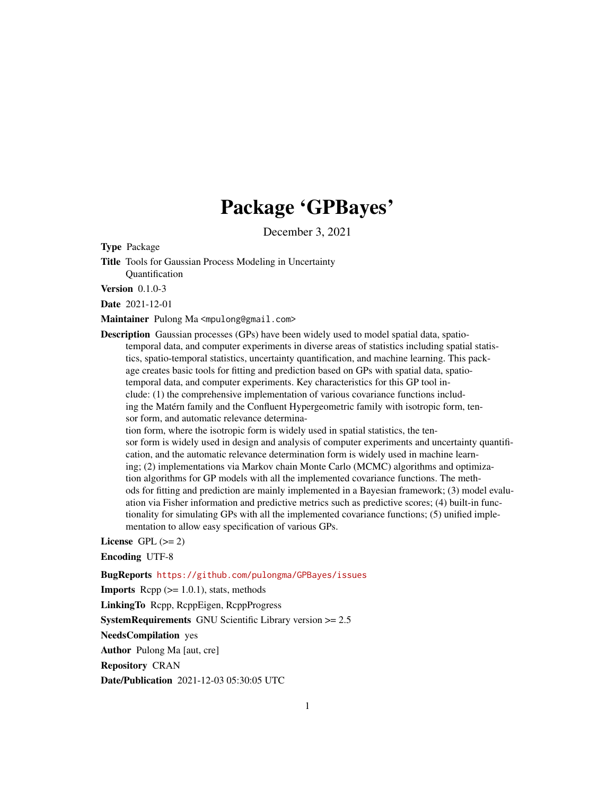# Package 'GPBayes'

December 3, 2021

<span id="page-0-0"></span>Type Package

Title Tools for Gaussian Process Modeling in Uncertainty Quantification

Version 0.1.0-3

Date 2021-12-01

Maintainer Pulong Ma <mpulong@gmail.com>

**Description** Gaussian processes (GPs) have been widely used to model spatial data, spatiotemporal data, and computer experiments in diverse areas of statistics including spatial statistics, spatio-temporal statistics, uncertainty quantification, and machine learning. This package creates basic tools for fitting and prediction based on GPs with spatial data, spatiotemporal data, and computer experiments. Key characteristics for this GP tool include: (1) the comprehensive implementation of various covariance functions including the Matérn family and the Confluent Hypergeometric family with isotropic form, tensor form, and automatic relevance determination form, where the isotropic form is widely used in spatial statistics, the tensor form is widely used in design and analysis of computer experiments and uncertainty quantification, and the automatic relevance determination form is widely used in machine learn-

ing; (2) implementations via Markov chain Monte Carlo (MCMC) algorithms and optimization algorithms for GP models with all the implemented covariance functions. The methods for fitting and prediction are mainly implemented in a Bayesian framework; (3) model evaluation via Fisher information and predictive metrics such as predictive scores; (4) built-in functionality for simulating GPs with all the implemented covariance functions; (5) unified implementation to allow easy specification of various GPs.

License GPL  $(>= 2)$ 

Encoding UTF-8

BugReports <https://github.com/pulongma/GPBayes/issues>

**Imports** Rcpp  $(>= 1.0.1)$ , stats, methods

LinkingTo Rcpp, RcppEigen, RcppProgress

**SystemRequirements** GNU Scientific Library version  $\geq$  2.5

NeedsCompilation yes

Author Pulong Ma [aut, cre]

Repository CRAN

Date/Publication 2021-12-03 05:30:05 UTC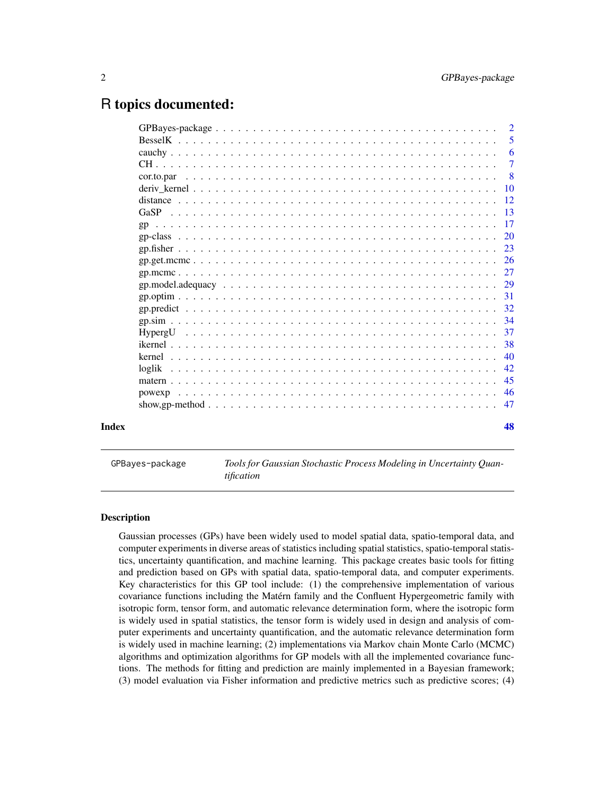# <span id="page-1-0"></span>R topics documented:

|       |        | $\overline{2}$ |
|-------|--------|----------------|
|       |        | 5              |
|       |        | -6             |
|       |        | $\overline{7}$ |
|       |        | $\sqrt{8}$     |
|       |        |                |
|       |        |                |
|       |        |                |
|       |        |                |
|       |        |                |
|       |        |                |
|       |        |                |
|       |        |                |
|       |        |                |
|       |        |                |
|       |        |                |
|       |        |                |
|       |        |                |
|       |        | -38            |
|       |        | 40             |
|       | loglik | 42             |
|       |        | 45             |
|       |        |                |
|       |        |                |
| Index |        | 48             |

<span id="page-1-1"></span>GPBayes-package *Tools for Gaussian Stochastic Process Modeling in Uncertainty Quantification*

#### Description

Gaussian processes (GPs) have been widely used to model spatial data, spatio-temporal data, and computer experiments in diverse areas of statistics including spatial statistics, spatio-temporal statistics, uncertainty quantification, and machine learning. This package creates basic tools for fitting and prediction based on GPs with spatial data, spatio-temporal data, and computer experiments. Key characteristics for this GP tool include: (1) the comprehensive implementation of various covariance functions including the Matérn family and the Confluent Hypergeometric family with isotropic form, tensor form, and automatic relevance determination form, where the isotropic form is widely used in spatial statistics, the tensor form is widely used in design and analysis of computer experiments and uncertainty quantification, and the automatic relevance determination form is widely used in machine learning; (2) implementations via Markov chain Monte Carlo (MCMC) algorithms and optimization algorithms for GP models with all the implemented covariance functions. The methods for fitting and prediction are mainly implemented in a Bayesian framework; (3) model evaluation via Fisher information and predictive metrics such as predictive scores; (4)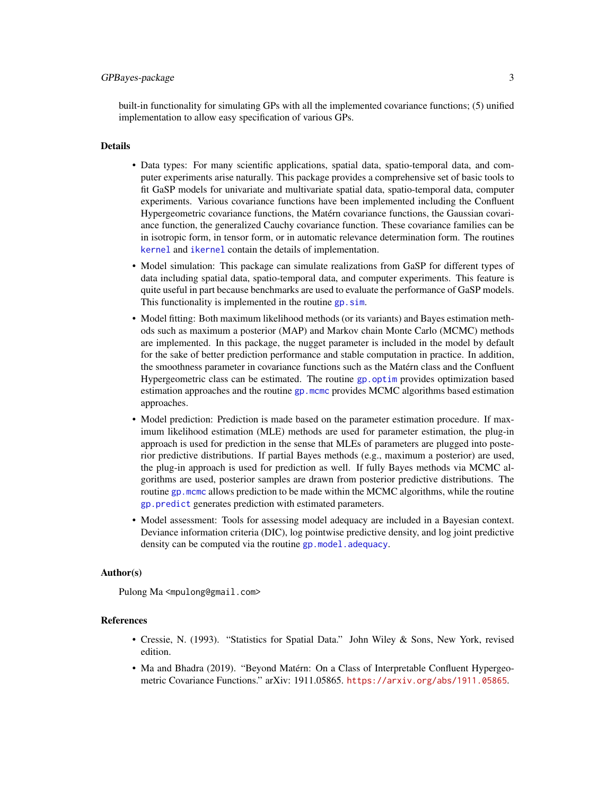# <span id="page-2-0"></span>GPBayes-package 3

built-in functionality for simulating GPs with all the implemented covariance functions; (5) unified implementation to allow easy specification of various GPs.

#### Details

- Data types: For many scientific applications, spatial data, spatio-temporal data, and computer experiments arise naturally. This package provides a comprehensive set of basic tools to fit GaSP models for univariate and multivariate spatial data, spatio-temporal data, computer experiments. Various covariance functions have been implemented including the Confluent Hypergeometric covariance functions, the Matérn covariance functions, the Gaussian covariance function, the generalized Cauchy covariance function. These covariance families can be in isotropic form, in tensor form, or in automatic relevance determination form. The routines [kernel](#page-39-1) and [ikernel](#page-37-1) contain the details of implementation.
- Model simulation: This package can simulate realizations from GaSP for different types of data including spatial data, spatio-temporal data, and computer experiments. This feature is quite useful in part because benchmarks are used to evaluate the performance of GaSP models. This functionality is implemented in the routine gp. sim.
- Model fitting: Both maximum likelihood methods (or its variants) and Bayes estimation methods such as maximum a posterior (MAP) and Markov chain Monte Carlo (MCMC) methods are implemented. In this package, the nugget parameter is included in the model by default for the sake of better prediction performance and stable computation in practice. In addition, the smoothness parameter in covariance functions such as the Matérn class and the Confluent Hypergeometric class can be estimated. The routine [gp.optim](#page-30-1) provides optimization based estimation approaches and the routine [gp.mcmc](#page-26-1) provides MCMC algorithms based estimation approaches.
- Model prediction: Prediction is made based on the parameter estimation procedure. If maximum likelihood estimation (MLE) methods are used for parameter estimation, the plug-in approach is used for prediction in the sense that MLEs of parameters are plugged into posterior predictive distributions. If partial Bayes methods (e.g., maximum a posterior) are used, the plug-in approach is used for prediction as well. If fully Bayes methods via MCMC algorithms are used, posterior samples are drawn from posterior predictive distributions. The routine gp. mcmc allows prediction to be made within the MCMC algorithms, while the routine [gp.predict](#page-31-1) generates prediction with estimated parameters.
- Model assessment: Tools for assessing model adequacy are included in a Bayesian context. Deviance information criteria (DIC), log pointwise predictive density, and log joint predictive density can be computed via the routine [gp.model.adequacy](#page-28-1).

#### Author(s)

Pulong Ma <mpulong@gmail.com>

#### References

- Cressie, N. (1993). "Statistics for Spatial Data." John Wiley & Sons, New York, revised edition.
- Ma and Bhadra (2019). "Beyond Matérn: On a Class of Interpretable Confluent Hypergeometric Covariance Functions." arXiv: 1911.05865. <https://arxiv.org/abs/1911.05865>.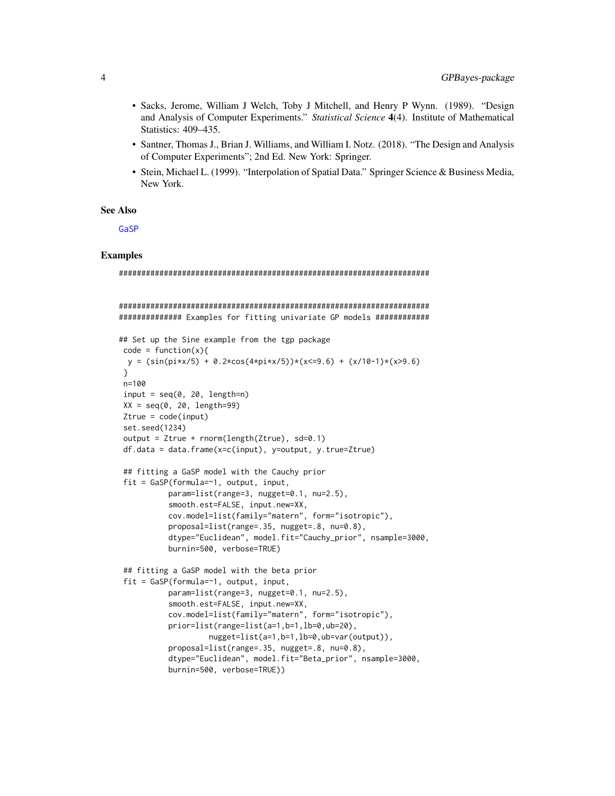- Sacks, Jerome, William J Welch, Toby J Mitchell, and Henry P Wynn. (1989). "Design and Analysis of Computer Experiments." *Statistical Science* 4(4). Institute of Mathematical Statistics: 409–435.
- Santner, Thomas J., Brian J. Williams, and William I. Notz. (2018). "The Design and Analysis of Computer Experiments"; 2nd Ed. New York: Springer.
- Stein, Michael L. (1999). "Interpolation of Spatial Data." Springer Science & Business Media, New York.

#### See Also

[GaSP](#page-12-1)

# Examples

```
#####################################################################
#####################################################################
############## Examples for fitting univariate GP models ############
## Set up the Sine example from the tgp package
code = function(x)y = (sin(pixx/5) + 0.2xcos(4*pi*x/5))*(x<=9.6) + (x/10-1)*(x>9.6)}
n=100
input = seq(0, 20, length=n)XX = seq(0, 20, length=99)Ztrue = code(input)
set.seed(1234)
output = Ztrue + rnorm(length(Ztrue), sd=0.1)
df.data = data.frame(x=c(input), y=output, y.true=Ztrue)
## fitting a GaSP model with the Cauchy prior
fit = GaSP(formula=~1, output, input,
          param=list(range=3, nugget=0.1, nu=2.5),
          smooth.est=FALSE, input.new=XX,
          cov.model=list(family="matern", form="isotropic"),
          proposal=list(range=.35, nugget=.8, nu=0.8),
          dtype="Euclidean", model.fit="Cauchy_prior", nsample=3000,
          burnin=500, verbose=TRUE)
## fitting a GaSP model with the beta prior
fit = GaSP(formula=~1, output, input,
          param=list(range=3, nugget=0.1, nu=2.5),
          smooth.est=FALSE, input.new=XX,
          cov.model=list(family="matern", form="isotropic"),
          prior=list(range=list(a=1,b=1,lb=0,ub=20),
                    nugget=list(a=1,b=1,lb=0,ub=var(output)),
          proposal=list(range=.35, nugget=.8, nu=0.8),
          dtype="Euclidean", model.fit="Beta_prior", nsample=3000,
          burnin=500, verbose=TRUE))
```
<span id="page-3-0"></span>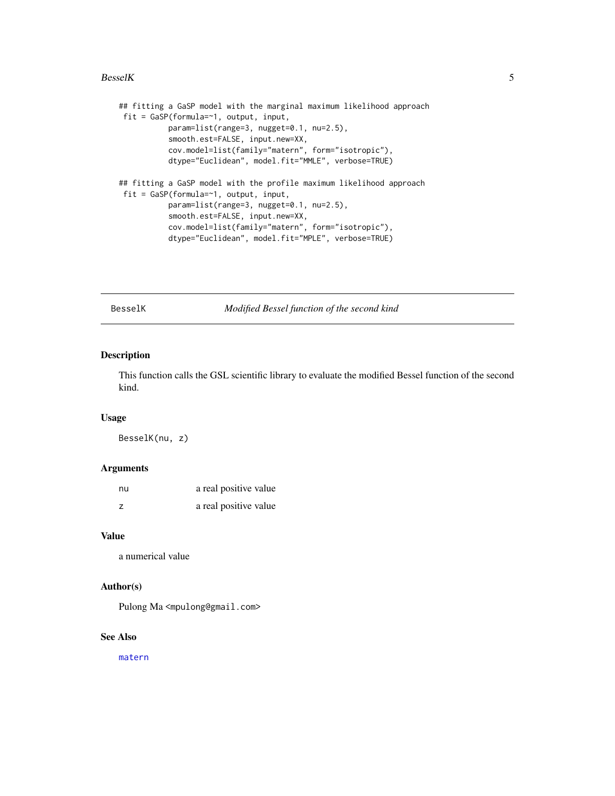#### <span id="page-4-0"></span> $BesselK$  5

```
## fitting a GaSP model with the marginal maximum likelihood approach
fit = GaSP(formula=~1, output, input,
           param=list(range=3, nugget=0.1, nu=2.5),
           smooth.est=FALSE, input.new=XX,
           cov.model=list(family="matern", form="isotropic"),
           dtype="Euclidean", model.fit="MMLE", verbose=TRUE)
## fitting a GaSP model with the profile maximum likelihood approach
fit = GaSP(formula=~1, output, input,
           param=list(range=3, nugget=0.1, nu=2.5),
           smooth.est=FALSE, input.new=XX,
           cov.model=list(family="matern", form="isotropic"),
           dtype="Euclidean", model.fit="MPLE", verbose=TRUE)
```
BesselK *Modified Bessel function of the second kind*

# Description

This function calls the GSL scientific library to evaluate the modified Bessel function of the second kind.

#### Usage

BesselK(nu, z)

#### Arguments

| nu | a real positive value |
|----|-----------------------|
| z  | a real positive value |

#### Value

a numerical value

#### Author(s)

Pulong Ma <mpulong@gmail.com>

#### See Also

[matern](#page-44-1)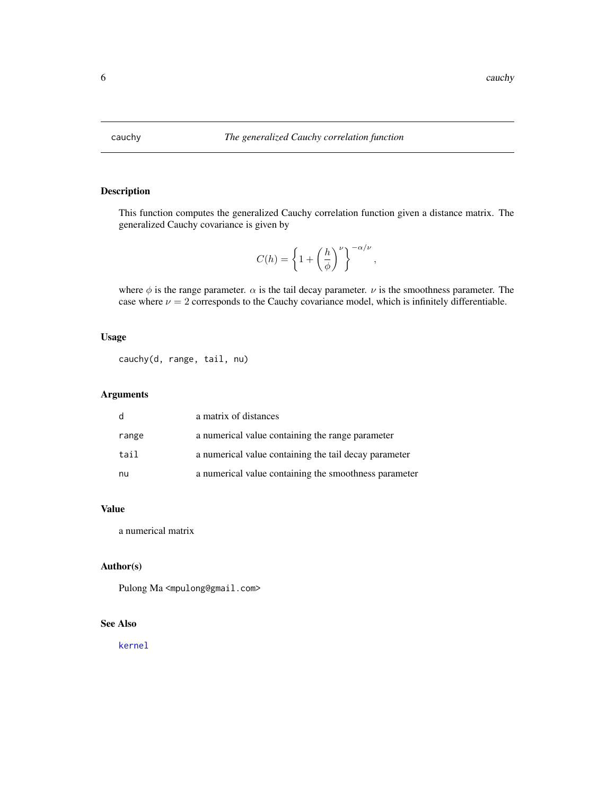<span id="page-5-0"></span>

This function computes the generalized Cauchy correlation function given a distance matrix. The generalized Cauchy covariance is given by

$$
C(h)=\left\{1+\left(\frac{h}{\phi}\right)^{\nu}\right\}^{-\alpha/\nu},
$$

where  $\phi$  is the range parameter.  $\alpha$  is the tail decay parameter.  $\nu$  is the smoothness parameter. The case where  $\nu = 2$  corresponds to the Cauchy covariance model, which is infinitely differentiable.

# Usage

cauchy(d, range, tail, nu)

# Arguments

| d     | a matrix of distances                                 |
|-------|-------------------------------------------------------|
| range | a numerical value containing the range parameter      |
| tail  | a numerical value containing the tail decay parameter |
| nu    | a numerical value containing the smoothness parameter |

# Value

a numerical matrix

# Author(s)

Pulong Ma <mpulong@gmail.com>

# See Also

[kernel](#page-39-1)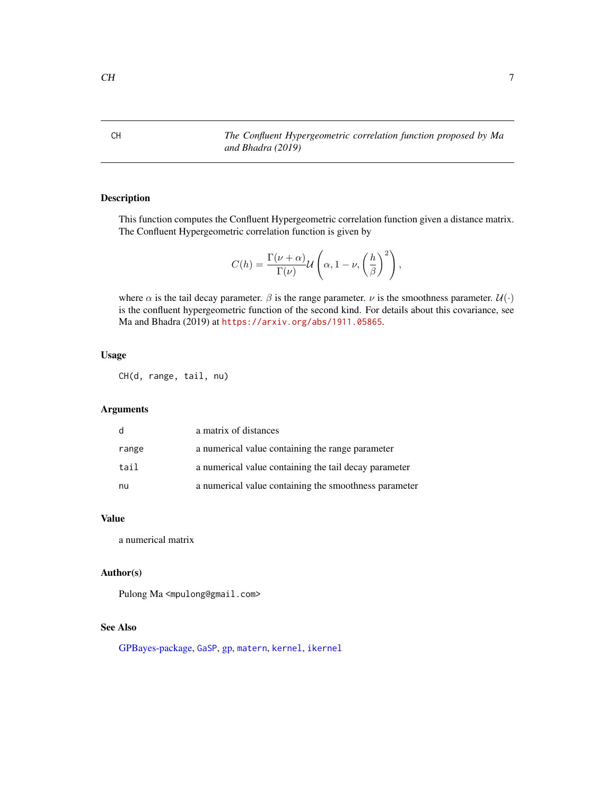This function computes the Confluent Hypergeometric correlation function given a distance matrix. The Confluent Hypergeometric correlation function is given by

$$
C(h) = \frac{\Gamma(\nu + \alpha)}{\Gamma(\nu)} \mathcal{U}\left(\alpha, 1 - \nu, \left(\frac{h}{\beta}\right)^2\right),\,
$$

where  $\alpha$  is the tail decay parameter.  $\beta$  is the range parameter.  $\nu$  is the smoothness parameter.  $\mathcal{U}(\cdot)$ is the confluent hypergeometric function of the second kind. For details about this covariance, see Ma and Bhadra (2019) at <https://arxiv.org/abs/1911.05865>.

# Usage

CH(d, range, tail, nu)

# Arguments

| d     | a matrix of distances                                 |
|-------|-------------------------------------------------------|
| range | a numerical value containing the range parameter      |
| tail  | a numerical value containing the tail decay parameter |
| nu    | a numerical value containing the smoothness parameter |

#### Value

a numerical matrix

#### Author(s)

Pulong Ma <mpulong@gmail.com>

## See Also

[GPBayes-package,](#page-1-1) [GaSP](#page-12-1), [gp,](#page-19-1) [matern](#page-44-1), [kernel](#page-39-1), [ikernel](#page-37-1)

<span id="page-6-1"></span><span id="page-6-0"></span>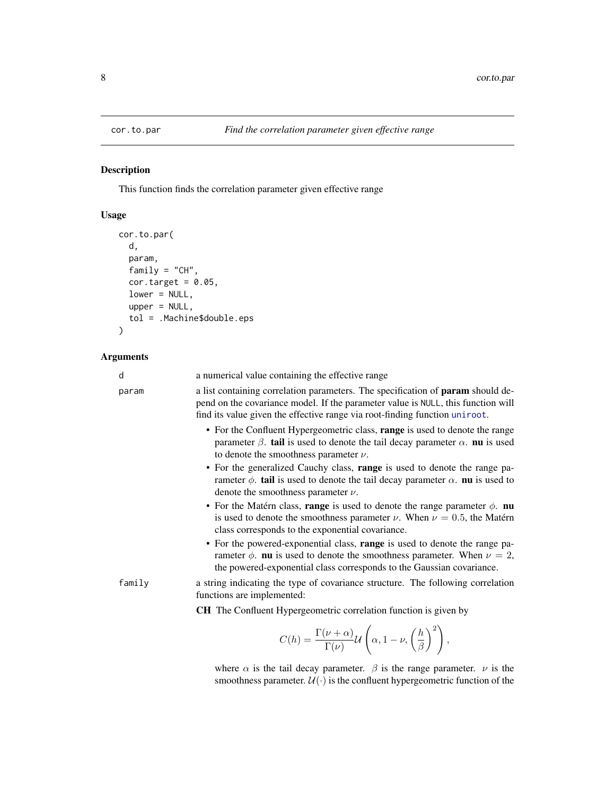<span id="page-7-0"></span>

This function finds the correlation parameter given effective range

# Usage

```
cor.to.par(
 d,
 param,
 family = "CH",
  cor.target = 0.05,lower = NULL,upper = NULL,
  tol = .Machine$double.eps
)
```
# Arguments

| d      | a numerical value containing the effective range                                                                                                                                                                                                          |
|--------|-----------------------------------------------------------------------------------------------------------------------------------------------------------------------------------------------------------------------------------------------------------|
| param  | a list containing correlation parameters. The specification of <b>param</b> should de-<br>pend on the covariance model. If the parameter value is NULL, this function will<br>find its value given the effective range via root-finding function uniroot. |
|        | • For the Confluent Hypergeometric class, range is used to denote the range<br>parameter $\beta$ . tail is used to denote the tail decay parameter $\alpha$ . nu is used<br>to denote the smoothness parameter $\nu$ .                                    |
|        | • For the generalized Cauchy class, range is used to denote the range pa-<br>rameter $\phi$ . <b>tail</b> is used to denote the tail decay parameter $\alpha$ . <b>nu</b> is used to<br>denote the smoothness parameter $\nu$ .                           |
|        | • For the Matérn class, range is used to denote the range parameter $\phi$ . nu<br>is used to denote the smoothness parameter $\nu$ . When $\nu = 0.5$ , the Matérn<br>class corresponds to the exponential covariance.                                   |
|        | • For the powered-exponential class, range is used to denote the range pa-<br>rameter $\phi$ . <b>nu</b> is used to denote the smoothness parameter. When $\nu = 2$ ,<br>the powered-exponential class corresponds to the Gaussian covariance.            |
| family | a string indicating the type of covariance structure. The following correlation<br>functions are implemented:                                                                                                                                             |
|        | <b>CH</b> The Confluent Hypergeometric correlation function is given by                                                                                                                                                                                   |
|        | $C(h) = \frac{\Gamma(\nu+\alpha)}{\Gamma(\nu)} \mathcal{U}\left(\alpha, 1-\nu, \left(\frac{h}{\beta}\right)^2\right),$                                                                                                                                    |

where  $\alpha$  is the tail decay parameter.  $\beta$  is the range parameter.  $\nu$  is the smoothness parameter.  $U(\cdot)$  is the confluent hypergeometric function of the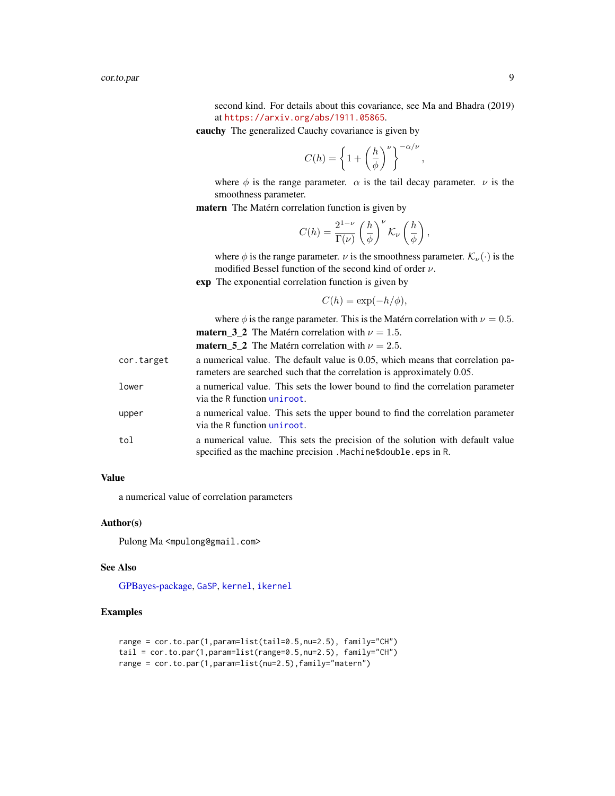second kind. For details about this covariance, see Ma and Bhadra (2019) at <https://arxiv.org/abs/1911.05865>.

<span id="page-8-0"></span>cauchy The generalized Cauchy covariance is given by

$$
C(h) = \left\{1 + \left(\frac{h}{\phi}\right)^{\nu}\right\}^{-\alpha/\nu}
$$

,

where  $\phi$  is the range parameter.  $\alpha$  is the tail decay parameter.  $\nu$  is the smoothness parameter.

matern The Matérn correlation function is given by

$$
C(h) = \frac{2^{1-\nu}}{\Gamma(\nu)} \left(\frac{h}{\phi}\right)^{\nu} {\cal K}_{\nu}\left(\frac{h}{\phi}\right),
$$

where  $\phi$  is the range parameter.  $\nu$  is the smoothness parameter.  $\mathcal{K}_{\nu}(\cdot)$  is the modified Bessel function of the second kind of order  $\nu$ .

exp The exponential correlation function is given by

$$
C(h) = \exp(-h/\phi),
$$

where  $\phi$  is the range parameter. This is the Matérn correlation with  $\nu = 0.5$ . **matern\_3\_2** The Matérn correlation with  $\nu = 1.5$ .

**matern\_5\_2** The Matérn correlation with  $\nu = 2.5$ .

| cor.target | a numerical value. The default value is 0.05, which means that correlation pa-<br>rameters are searched such that the correlation is approximately 0.05. |
|------------|----------------------------------------------------------------------------------------------------------------------------------------------------------|
| lower      | a numerical value. This sets the lower bound to find the correlation parameter<br>via the R function uniroot.                                            |
| upper      | a numerical value. This sets the upper bound to find the correlation parameter<br>via the R function unit root.                                          |
| tol        | a numerical value. This sets the precision of the solution with default value<br>specified as the machine precision . Machine\$double.eps in R.          |

#### Value

a numerical value of correlation parameters

#### Author(s)

Pulong Ma <mpulong@gmail.com>

#### See Also

[GPBayes-package,](#page-1-1) [GaSP](#page-12-1), [kernel](#page-39-1), [ikernel](#page-37-1)

### Examples

```
range = cor.to.par(1,param=list(tail=0.5,nu=2.5), family="CH")
tail = cor.to.par(1,param=list(range=0.5,nu=2.5), family="CH")
range = cor.to.par(1,param=list(nu=2.5),family="matern")
```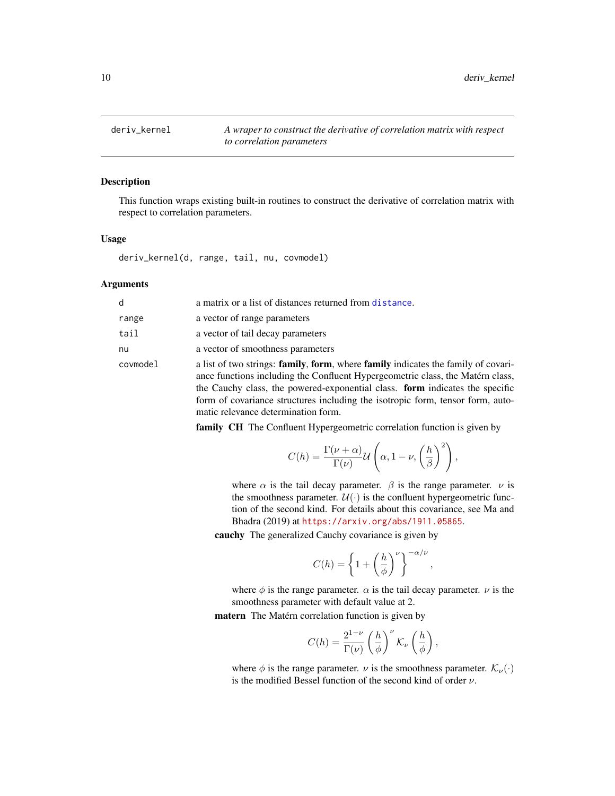<span id="page-9-0"></span>

This function wraps existing built-in routines to construct the derivative of correlation matrix with respect to correlation parameters.

#### Usage

deriv\_kernel(d, range, tail, nu, covmodel)

#### Arguments

| d.       | a matrix or a list of distances returned from distance.                                |
|----------|----------------------------------------------------------------------------------------|
| range    | a vector of range parameters                                                           |
| tail     | a vector of tail decay parameters                                                      |
| nu       | a vector of smoothness parameters                                                      |
| covmodel | a list of two strings: <b>family</b> , <b>form</b> , where <b>family</b> indicates the |
|          | ance functions including the Confluent Hypergeometric class,                           |

family of covarithe Matérn class, the Cauchy class, the powered-exponential class. form indicates the specific form of covariance structures including the isotropic form, tensor form, automatic relevance determination form.

family CH The Confluent Hypergeometric correlation function is given by

$$
C(h) = \frac{\Gamma(\nu + \alpha)}{\Gamma(\nu)} \mathcal{U}\left(\alpha, 1 - \nu, \left(\frac{h}{\beta}\right)^2\right),\,
$$

where  $\alpha$  is the tail decay parameter.  $\beta$  is the range parameter.  $\nu$  is the smoothness parameter.  $\mathcal{U}(\cdot)$  is the confluent hypergeometric function of the second kind. For details about this covariance, see Ma and Bhadra (2019) at <https://arxiv.org/abs/1911.05865>.

cauchy The generalized Cauchy covariance is given by

$$
C(h)=\left\{1+\left(\frac{h}{\phi}\right)^{\nu}\right\}^{-\alpha/\nu},
$$

where  $\phi$  is the range parameter.  $\alpha$  is the tail decay parameter.  $\nu$  is the smoothness parameter with default value at 2.

matern The Matérn correlation function is given by

$$
C(h) = \frac{2^{1-\nu}}{\Gamma(\nu)} \left(\frac{h}{\phi}\right)^{\nu} K_{\nu}\left(\frac{h}{\phi}\right),\,
$$

where  $\phi$  is the range parameter.  $\nu$  is the smoothness parameter.  $\mathcal{K}_{\nu}(\cdot)$ is the modified Bessel function of the second kind of order  $\nu$ .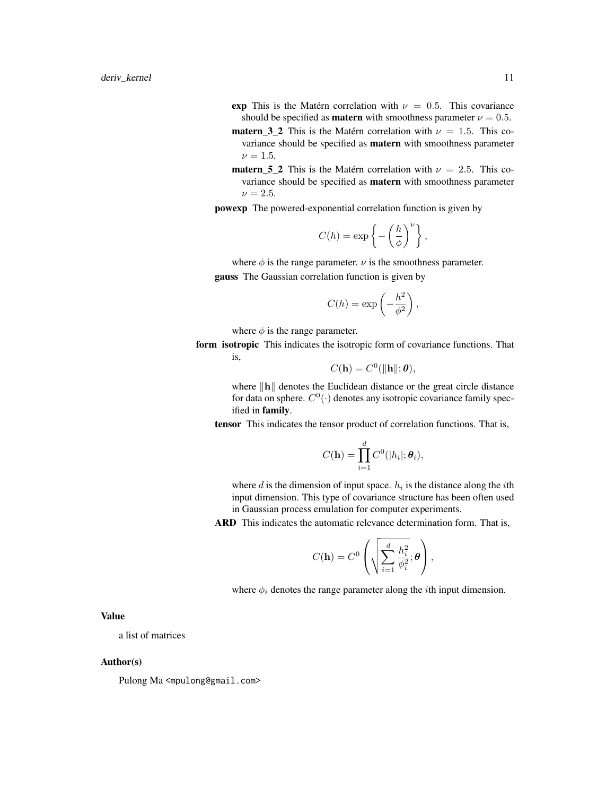- exp This is the Matérn correlation with  $\nu = 0.5$ . This covariance should be specified as **matern** with smoothness parameter  $\nu = 0.5$ .
- **matern\_3\_2** This is the Matérn correlation with  $\nu = 1.5$ . This covariance should be specified as matern with smoothness parameter  $\nu = 1.5$ .
- **matern 5.2** This is the Matérn correlation with  $\nu = 2.5$ . This covariance should be specified as matern with smoothness parameter  $\nu = 2.5$ .

powexp The powered-exponential correlation function is given by

$$
C(h) = \exp\left\{-\left(\frac{h}{\phi}\right)^{\nu}\right\},\,
$$

where  $\phi$  is the range parameter.  $\nu$  is the smoothness parameter. gauss The Gaussian correlation function is given by

$$
C(h) = \exp\left(-\frac{h^2}{\phi^2}\right),\,
$$

where  $\phi$  is the range parameter.

form isotropic This indicates the isotropic form of covariance functions. That is,

$$
C(\mathbf{h}) = C^0(||\mathbf{h}||; \boldsymbol{\theta}),
$$

where  $\Vert \mathbf{h} \Vert$  denotes the Euclidean distance or the great circle distance for data on sphere.  $C^0(\cdot)$  denotes any isotropic covariance family specified in family.

tensor This indicates the tensor product of correlation functions. That is,

$$
C(\mathbf{h}) = \prod_{i=1}^d C^0(|h_i|; \theta_i),
$$

where  $d$  is the dimension of input space.  $h_i$  is the distance along the *i*th input dimension. This type of covariance structure has been often used in Gaussian process emulation for computer experiments.

ARD This indicates the automatic relevance determination form. That is,

$$
C(\mathbf{h}) = C^0 \left( \sqrt{\sum_{i=1}^d \frac{h_i^2}{\phi_i^2}}; \boldsymbol{\theta} \right),
$$

where  $\phi_i$  denotes the range parameter along the *i*th input dimension.

# Value

a list of matrices

#### Author(s)

Pulong Ma <mpulong@gmail.com>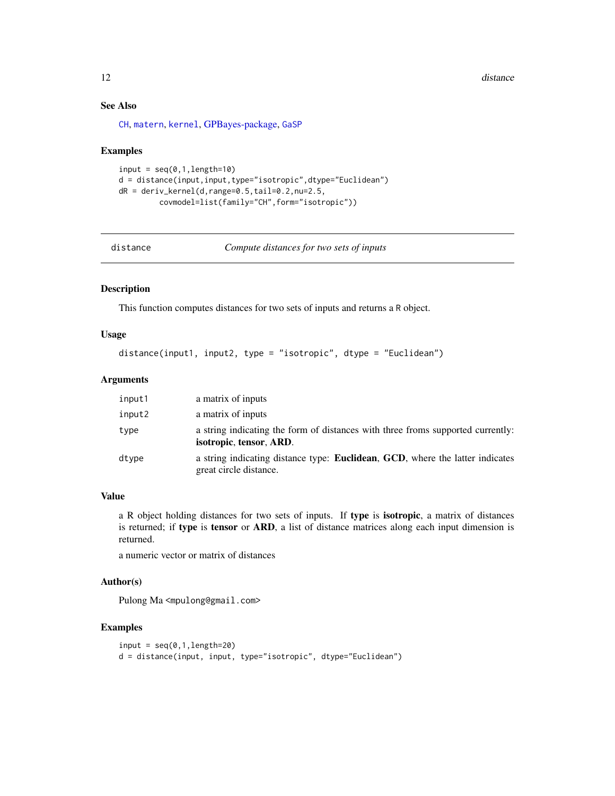#### <span id="page-11-0"></span>12 distance and the state of the state of the state of the state of the state of the state of the state of the state of the state of the state of the state of the state of the state of the state of the state of the state o

# See Also

[CH](#page-6-1), [matern](#page-44-1), [kernel](#page-39-1), [GPBayes-package,](#page-1-1) [GaSP](#page-12-1)

#### Examples

```
input = seq(0, 1, length=10)d = distance(input,input,type="isotropic",dtype="Euclidean")
dR = deriv\_kernel(d, range=0.5, tail=0.2, nu=2.5,covmodel=list(family="CH",form="isotropic"))
```
<span id="page-11-1"></span>distance *Compute distances for two sets of inputs*

# Description

This function computes distances for two sets of inputs and returns a R object.

#### Usage

```
distance(input1, input2, type = "isotropic", dtype = "Euclidean")
```
#### Arguments

| input1 | a matrix of inputs                                                                                              |
|--------|-----------------------------------------------------------------------------------------------------------------|
| input2 | a matrix of inputs                                                                                              |
| type   | a string indicating the form of distances with three froms supported currently:<br>isotropic, tensor, ARD.      |
| dtype  | a string indicating distance type: <b>Euclidean, GCD</b> , where the latter indicates<br>great circle distance. |

#### Value

a R object holding distances for two sets of inputs. If type is isotropic, a matrix of distances is returned; if type is tensor or ARD, a list of distance matrices along each input dimension is returned.

a numeric vector or matrix of distances

# Author(s)

Pulong Ma <mpulong@gmail.com>

## Examples

```
input = seq(0, 1, length=20)d = distance(input, input, type="isotropic", dtype="Euclidean")
```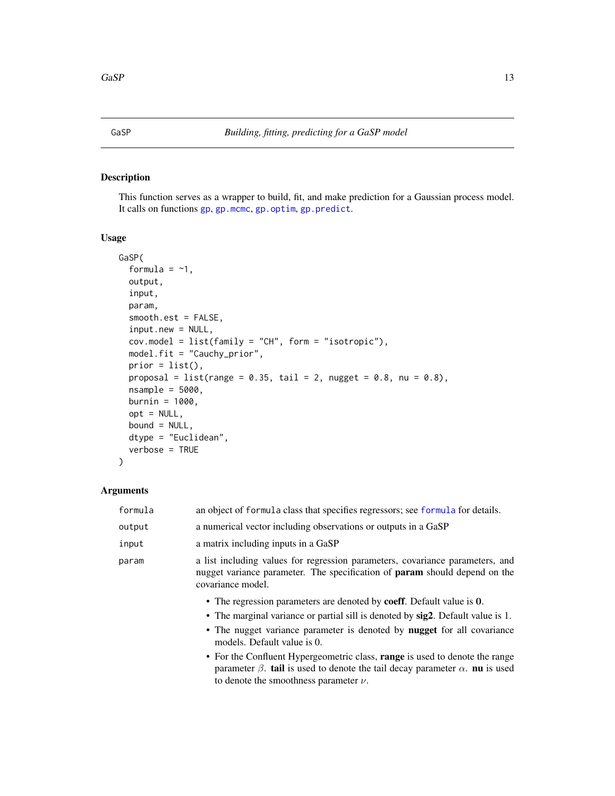<span id="page-12-1"></span><span id="page-12-0"></span>This function serves as a wrapper to build, fit, and make prediction for a Gaussian process model. It calls on functions [gp](#page-16-1), [gp.mcmc](#page-26-1), [gp.optim](#page-30-1), [gp.predict](#page-31-1).

# Usage

```
GaSP(
  formula = -1,
 output,
  input,
 param,
  smooth.est = FALSE,
  input.new = NULL,
 cov.model = list(family = "CH", form = "isotropic"),
 model.fit = "Cauchy_prior",
 prior = list(),proposal = list(range = 0.35, tail = 2, nugget = 0.8, nu = 0.8),
 nsample = 5000,burnin = 1000,
 opt = NULL,bound = NULL,
 dtype = "Euclidean",
  verbose = TRUE
)
```
#### Arguments

| formula | an object of formula class that specifies regressors; see formula for details.                                                                                                                                                                                            |
|---------|---------------------------------------------------------------------------------------------------------------------------------------------------------------------------------------------------------------------------------------------------------------------------|
| output  | a numerical vector including observations or outputs in a GaSP                                                                                                                                                                                                            |
| input   | a matrix including inputs in a GaSP                                                                                                                                                                                                                                       |
| param   | a list including values for regression parameters, covariance parameters, and<br>nugget variance parameter. The specification of <b>param</b> should depend on the<br>covariance model.                                                                                   |
|         | • The regression parameters are denoted by coeff. Default value is 0.<br>• The marginal variance or partial sill is denoted by sig2. Default value is 1.<br>• The nugget variance parameter is denoted by <b>nugget</b> for all covariance<br>models. Default value is 0. |
|         | • For the Confluent Hypergeometric class, <b>range</b> is used to denote the range<br>parameter $\beta$ . <b>tail</b> is used to denote the tail decay parameter $\alpha$ . <b>nu</b> is used<br>to denote the smoothness parameter $\nu$ .                               |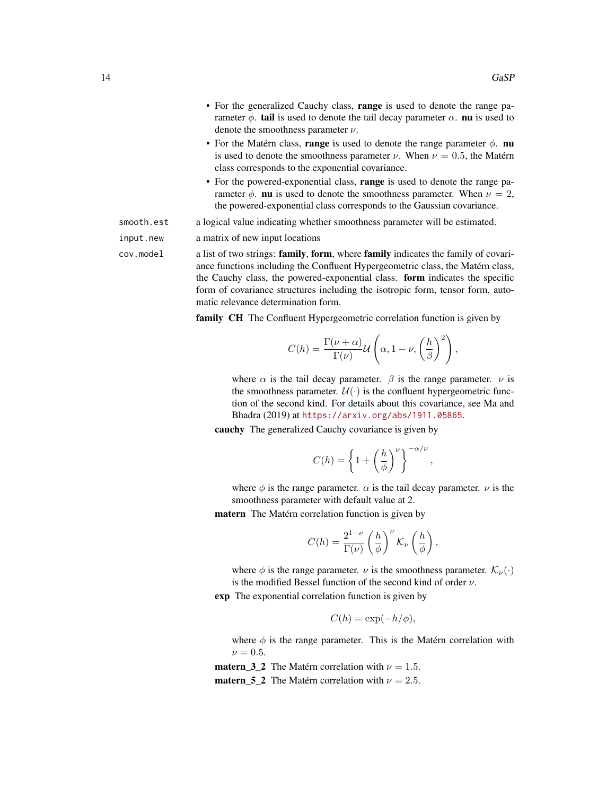|            | • For the generalized Cauchy class, range is used to denote the range pa-<br>rameter $\phi$ . <b>tail</b> is used to denote the tail decay parameter $\alpha$ . <b>nu</b> is used to<br>denote the smoothness parameter $\nu$ .                       |
|------------|-------------------------------------------------------------------------------------------------------------------------------------------------------------------------------------------------------------------------------------------------------|
|            | • For the Matérn class, range is used to denote the range parameter $\phi$ . nu<br>is used to denote the smoothness parameter $\nu$ . When $\nu = 0.5$ , the Matérn<br>class corresponds to the exponential covariance.                               |
|            | • For the powered-exponential class, <b>range</b> is used to denote the range pa-<br>rameter $\phi$ . <b>nu</b> is used to denote the smoothness parameter. When $\nu = 2$ ,<br>the powered-exponential class corresponds to the Gaussian covariance. |
| smooth.est | a logical value indicating whether smoothness parameter will be estimated.                                                                                                                                                                            |
| input.new  | a matrix of new input locations                                                                                                                                                                                                                       |
| cov.model  | a list of two strings: <b>family</b> , <b>form</b> , where <b>family</b> indicates the family of covari-<br>ance functions including the Confluent Hypergeometric class, the Matérn class,                                                            |

the Cauchy class, the powered-exponential class. form indicates the specific form of covariance structures including the isotropic form, tensor form, automatic relevance determination form.

family CH The Confluent Hypergeometric correlation function is given by

$$
C(h) = \frac{\Gamma(\nu + \alpha)}{\Gamma(\nu)} \mathcal{U}\left(\alpha, 1 - \nu, \left(\frac{h}{\beta}\right)^2\right),\,
$$

where  $\alpha$  is the tail decay parameter.  $\beta$  is the range parameter.  $\nu$  is the smoothness parameter.  $\mathcal{U}(\cdot)$  is the confluent hypergeometric function of the second kind. For details about this covariance, see Ma and Bhadra (2019) at <https://arxiv.org/abs/1911.05865>.

cauchy The generalized Cauchy covariance is given by

$$
C(h)=\left\{1+\left(\frac{h}{\phi}\right)^{\nu}\right\}^{-\alpha/\nu},
$$

where  $\phi$  is the range parameter.  $\alpha$  is the tail decay parameter.  $\nu$  is the smoothness parameter with default value at 2.

matern The Matérn correlation function is given by

$$
C(h) = \frac{2^{1-\nu}}{\Gamma(\nu)} \left(\frac{h}{\phi}\right)^{\nu} K_{\nu}\left(\frac{h}{\phi}\right),\,
$$

where  $\phi$  is the range parameter.  $\nu$  is the smoothness parameter.  $\mathcal{K}_{\nu}(\cdot)$ is the modified Bessel function of the second kind of order  $\nu$ .

exp The exponential correlation function is given by

$$
C(h) = \exp(-h/\phi),
$$

where  $\phi$  is the range parameter. This is the Matérn correlation with  $\nu = 0.5$ .

**matern\_3\_2** The Matérn correlation with  $\nu = 1.5$ . **matern\_5\_2** The Matérn correlation with  $\nu = 2.5$ .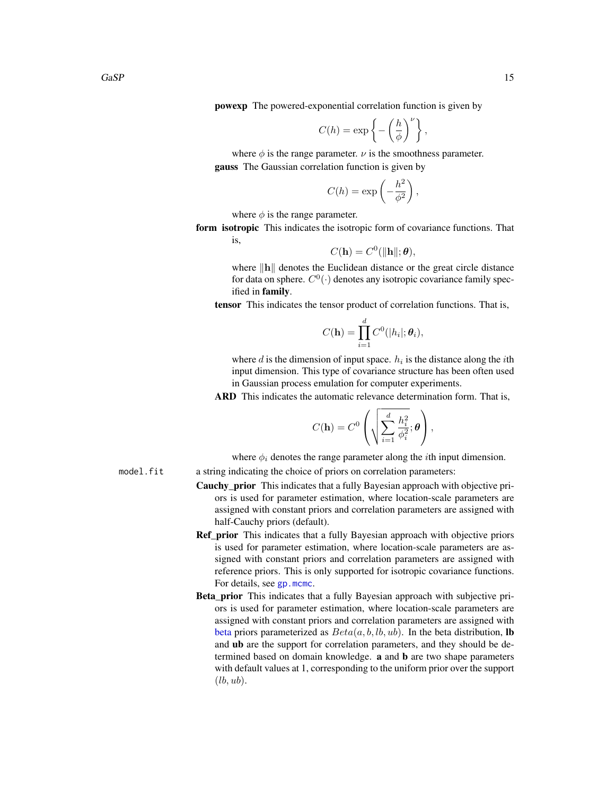<span id="page-14-0"></span>powexp The powered-exponential correlation function is given by

$$
C(h) = \exp\left\{-\left(\frac{h}{\phi}\right)^{\nu}\right\},\,
$$

where  $\phi$  is the range parameter.  $\nu$  is the smoothness parameter. gauss The Gaussian correlation function is given by

$$
C(h) = \exp\left(-\frac{h^2}{\phi^2}\right),\,
$$

where  $\phi$  is the range parameter.

form isotropic This indicates the isotropic form of covariance functions. That is,

$$
C(\mathbf{h}) = C^0(||\mathbf{h}||; \boldsymbol{\theta}),
$$

where  $\|\mathbf{h}\|$  denotes the Euclidean distance or the great circle distance for data on sphere.  $C^0(\cdot)$  denotes any isotropic covariance family specified in family.

tensor This indicates the tensor product of correlation functions. That is,

$$
C(\mathbf{h}) = \prod_{i=1}^d C^0(|h_i|; \theta_i),
$$

where  $d$  is the dimension of input space.  $h_i$  is the distance along the *i*th input dimension. This type of covariance structure has been often used in Gaussian process emulation for computer experiments.

ARD This indicates the automatic relevance determination form. That is,

$$
C(\mathbf{h}) = C^0 \left( \sqrt{\sum_{i=1}^d \frac{h_i^2}{\phi_i^2}}; \boldsymbol{\theta} \right),
$$

where  $\phi_i$  denotes the range parameter along the *i*th input dimension.

model.fit a string indicating the choice of priors on correlation parameters:

- Cauchy\_prior This indicates that a fully Bayesian approach with objective priors is used for parameter estimation, where location-scale parameters are assigned with constant priors and correlation parameters are assigned with half-Cauchy priors (default).
- Ref\_prior This indicates that a fully Bayesian approach with objective priors is used for parameter estimation, where location-scale parameters are assigned with constant priors and correlation parameters are assigned with reference priors. This is only supported for isotropic covariance functions. For details, see [gp.mcmc](#page-26-1).
- Beta\_prior This indicates that a fully Bayesian approach with subjective priors is used for parameter estimation, where location-scale parameters are assigned with constant priors and correlation parameters are assigned with [beta](#page-0-0) priors parameterized as  $Beta(a, b, lb, ub)$ . In the beta distribution, **lb** and ub are the support for correlation parameters, and they should be determined based on domain knowledge. a and b are two shape parameters with default values at 1, corresponding to the uniform prior over the support  $(lb, ub).$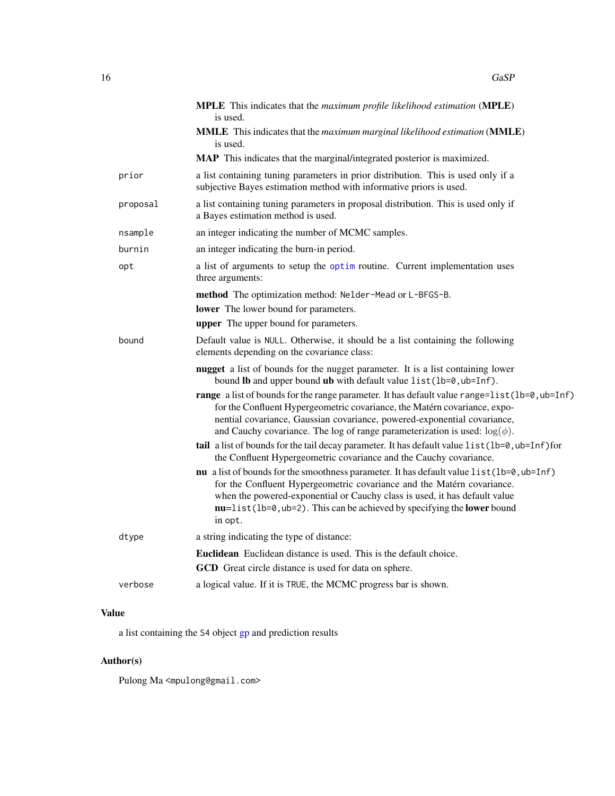<span id="page-15-0"></span>

|          | <b>MPLE</b> This indicates that the <i>maximum profile likelihood estimation</i> (MPLE)<br>is used.                                                                                                                                                                                                                                                |
|----------|----------------------------------------------------------------------------------------------------------------------------------------------------------------------------------------------------------------------------------------------------------------------------------------------------------------------------------------------------|
|          | <b>MMLE</b> This indicates that the maximum marginal likelihood estimation (MMLE)<br>is used.                                                                                                                                                                                                                                                      |
|          | MAP This indicates that the marginal/integrated posterior is maximized.                                                                                                                                                                                                                                                                            |
| prior    | a list containing tuning parameters in prior distribution. This is used only if a<br>subjective Bayes estimation method with informative priors is used.                                                                                                                                                                                           |
| proposal | a list containing tuning parameters in proposal distribution. This is used only if<br>a Bayes estimation method is used.                                                                                                                                                                                                                           |
| nsample  | an integer indicating the number of MCMC samples.                                                                                                                                                                                                                                                                                                  |
| burnin   | an integer indicating the burn-in period.                                                                                                                                                                                                                                                                                                          |
| opt      | a list of arguments to setup the optim routine. Current implementation uses<br>three arguments:                                                                                                                                                                                                                                                    |
|          | method The optimization method: Nelder-Mead or L-BFGS-B.                                                                                                                                                                                                                                                                                           |
|          | lower The lower bound for parameters.                                                                                                                                                                                                                                                                                                              |
|          | <b>upper</b> The upper bound for parameters.                                                                                                                                                                                                                                                                                                       |
| bound    | Default value is NULL. Otherwise, it should be a list containing the following<br>elements depending on the covariance class:                                                                                                                                                                                                                      |
|          | nugget a list of bounds for the nugget parameter. It is a list containing lower<br>bound Ib and upper bound ub with default value list (lb=0, ub=Inf).                                                                                                                                                                                             |
|          | range a list of bounds for the range parameter. It has default value range=list(lb=0, ub=Inf)<br>for the Confluent Hypergeometric covariance, the Matérn covariance, expo-<br>nential covariance, Gaussian covariance, powered-exponential covariance,<br>and Cauchy covariance. The log of range parameterization is used: $log(\phi)$ .          |
|          | tail a list of bounds for the tail decay parameter. It has default value list (lb=0, ub=Inf) for<br>the Confluent Hypergeometric covariance and the Cauchy covariance.                                                                                                                                                                             |
|          | nu a list of bounds for the smoothness parameter. It has default value list (1b=0, ub=1nf)<br>for the Confluent Hypergeometric covariance and the Matérn covariance.<br>when the powered-exponential or Cauchy class is used, it has default value<br>$nu=list(lb=0, ub=2)$ . This can be achieved by specifying the <b>lower</b> bound<br>in opt. |
| dtype    | a string indicating the type of distance:                                                                                                                                                                                                                                                                                                          |
|          | Euclidean Euclidean distance is used. This is the default choice.                                                                                                                                                                                                                                                                                  |
|          | GCD Great circle distance is used for data on sphere.                                                                                                                                                                                                                                                                                              |
| verbose  | a logical value. If it is TRUE, the MCMC progress bar is shown.                                                                                                                                                                                                                                                                                    |

# Value

a list containing the S4 object [gp](#page-19-1) and prediction results

# Author(s)

Pulong Ma <mpulong@gmail.com>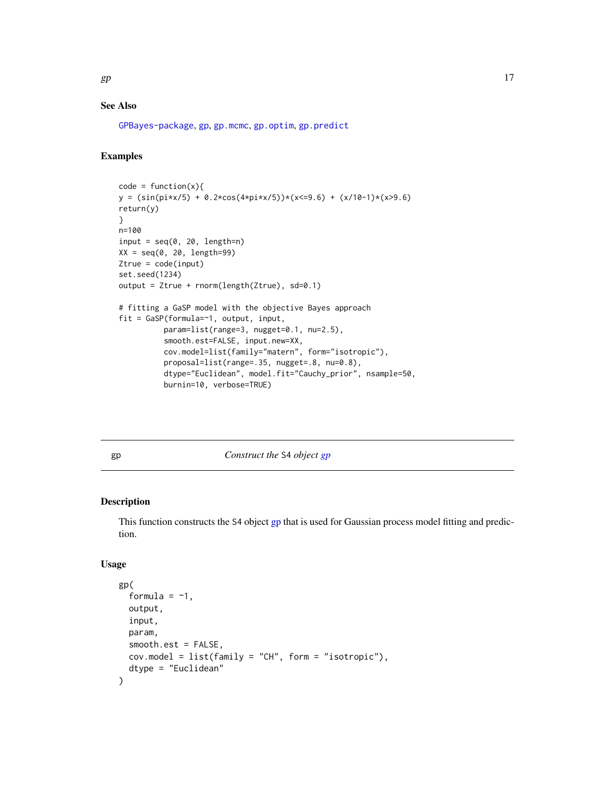# <span id="page-16-0"></span>See Also

[GPBayes-package](#page-1-1), [gp](#page-16-1), [gp.mcmc](#page-26-1), [gp.optim](#page-30-1), [gp.predict](#page-31-1)

# Examples

```
code = function(x){
y = (sin(pixx/5) + 0.2xcos(4*pi*x/5))*(x<=9.6) + (x/10-1)*(x>9.6)return(y)
}
n=100
input = seq(0, 20, length=n)XX = seq(0, 20, length=99)Ztrue = code(input)
set.seed(1234)
output = Ztrue + rnorm(length(Ztrue), sd=0.1)
# fitting a GaSP model with the objective Bayes approach
fit = GaSP(formula=~1, output, input,
         param=list(range=3, nugget=0.1, nu=2.5),
          smooth.est=FALSE, input.new=XX,
          cov.model=list(family="matern", form="isotropic"),
          proposal=list(range=.35, nugget=.8, nu=0.8),
          dtype="Euclidean", model.fit="Cauchy_prior", nsample=50,
          burnin=10, verbose=TRUE)
```
#### <span id="page-16-1"></span>gp *Construct the* S4 *object [gp](#page-19-1)*

#### Description

This function constructs the S4 object [gp](#page-19-1) that is used for Gaussian process model fitting and prediction.

## Usage

```
gp(
  formula = -1,
  output,
  input,
 param,
  smooth.est = FALSE,
  cov.model = list(family = "CH", form = "isotropic"),
  dtype = "Euclidean"
)
```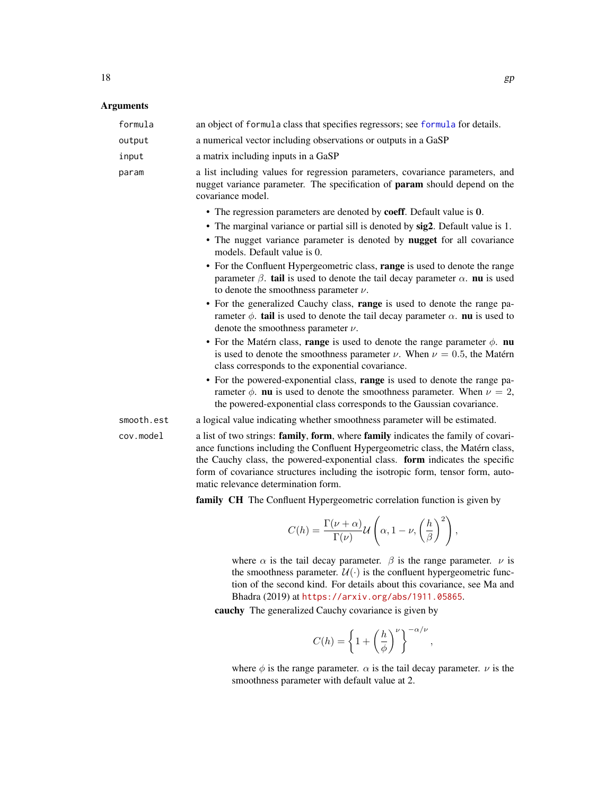# <span id="page-17-0"></span>Arguments

| formula    | an object of formula class that specifies regressors; see formula for details.                                                                                                                                                                                                                                                                                                                                                                                                                                                                                                                                                                                                                                                                                                                                                                                                                                                                                                                                                                                                                                                                                                                 |
|------------|------------------------------------------------------------------------------------------------------------------------------------------------------------------------------------------------------------------------------------------------------------------------------------------------------------------------------------------------------------------------------------------------------------------------------------------------------------------------------------------------------------------------------------------------------------------------------------------------------------------------------------------------------------------------------------------------------------------------------------------------------------------------------------------------------------------------------------------------------------------------------------------------------------------------------------------------------------------------------------------------------------------------------------------------------------------------------------------------------------------------------------------------------------------------------------------------|
| output     | a numerical vector including observations or outputs in a GaSP                                                                                                                                                                                                                                                                                                                                                                                                                                                                                                                                                                                                                                                                                                                                                                                                                                                                                                                                                                                                                                                                                                                                 |
| input      | a matrix including inputs in a GaSP                                                                                                                                                                                                                                                                                                                                                                                                                                                                                                                                                                                                                                                                                                                                                                                                                                                                                                                                                                                                                                                                                                                                                            |
| param      | a list including values for regression parameters, covariance parameters, and<br>nugget variance parameter. The specification of <b>param</b> should depend on the<br>covariance model.                                                                                                                                                                                                                                                                                                                                                                                                                                                                                                                                                                                                                                                                                                                                                                                                                                                                                                                                                                                                        |
|            | • The regression parameters are denoted by coeff. Default value is 0.<br>• The marginal variance or partial sill is denoted by sig2. Default value is 1.<br>• The nugget variance parameter is denoted by nugget for all covariance<br>models. Default value is 0.<br>• For the Confluent Hypergeometric class, range is used to denote the range<br>parameter $\beta$ . tail is used to denote the tail decay parameter $\alpha$ . nu is used<br>to denote the smoothness parameter $\nu$ .<br>• For the generalized Cauchy class, range is used to denote the range pa-<br>rameter $\phi$ . tail is used to denote the tail decay parameter $\alpha$ . nu is used to<br>denote the smoothness parameter $\nu$ .<br>• For the Matérn class, range is used to denote the range parameter $\phi$ . nu<br>is used to denote the smoothness parameter $\nu$ . When $\nu = 0.5$ , the Matérn<br>class corresponds to the exponential covariance.<br>• For the powered-exponential class, range is used to denote the range pa-<br>rameter $\phi$ . <b>nu</b> is used to denote the smoothness parameter. When $\nu = 2$ ,<br>the powered-exponential class corresponds to the Gaussian covariance. |
| smooth.est | a logical value indicating whether smoothness parameter will be estimated.                                                                                                                                                                                                                                                                                                                                                                                                                                                                                                                                                                                                                                                                                                                                                                                                                                                                                                                                                                                                                                                                                                                     |
| cov.model  | a list of two strings: family, form, where family indicates the family of covari-<br>ance functions including the Confluent Hypergeometric class, the Matérn class,<br>the Cauchy class, the powered-exponential class. form indicates the specific<br>form of covariance structures including the isotropic form, tensor form, auto-<br>matic relevance determination form.                                                                                                                                                                                                                                                                                                                                                                                                                                                                                                                                                                                                                                                                                                                                                                                                                   |
|            | family CH The Confluent Hypergeometric correlation function is given by                                                                                                                                                                                                                                                                                                                                                                                                                                                                                                                                                                                                                                                                                                                                                                                                                                                                                                                                                                                                                                                                                                                        |
|            | $\Gamma(\nu+\alpha)$ $(h\lambda^2)$                                                                                                                                                                                                                                                                                                                                                                                                                                                                                                                                                                                                                                                                                                                                                                                                                                                                                                                                                                                                                                                                                                                                                            |

$$
C(h) = \frac{\Gamma(\nu + \alpha)}{\Gamma(\nu)} \mathcal{U}\left(\alpha, 1 - \nu, \left(\frac{h}{\beta}\right)^2\right),
$$

where  $\alpha$  is the tail decay parameter.  $\beta$  is the range parameter.  $\nu$  is the smoothness parameter.  $U(\cdot)$  is the confluent hypergeometric function of the second kind. For details about this covariance, see Ma and Bhadra (2019) at <https://arxiv.org/abs/1911.05865>.

cauchy The generalized Cauchy covariance is given by

$$
C(h) = \left\{1 + \left(\frac{h}{\phi}\right)^{\nu}\right\}^{-\alpha/\nu},
$$

where  $\phi$  is the range parameter.  $\alpha$  is the tail decay parameter.  $\nu$  is the smoothness parameter with default value at 2.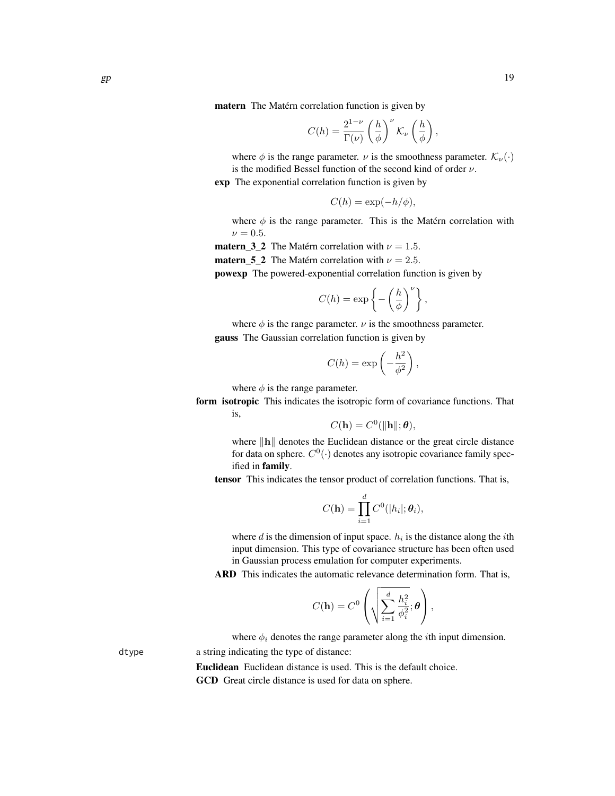matern The Matérn correlation function is given by

$$
C(h) = \frac{2^{1-\nu}}{\Gamma(\nu)}\left(\frac{h}{\phi}\right)^{\nu}\mathcal{K}_{\nu}\left(\frac{h}{\phi}\right),
$$

where  $\phi$  is the range parameter.  $\nu$  is the smoothness parameter.  $\mathcal{K}_{\nu}(\cdot)$ is the modified Bessel function of the second kind of order  $\nu$ .

exp The exponential correlation function is given by

$$
C(h) = \exp(-h/\phi),
$$

where  $\phi$  is the range parameter. This is the Matérn correlation with  $\nu = 0.5$ .

**matern** 3 2 The Matérn correlation with  $\nu = 1.5$ .

**matern 5 2** The Matérn correlation with  $\nu = 2.5$ .

powexp The powered-exponential correlation function is given by

$$
C(h) = \exp\left\{-\left(\frac{h}{\phi}\right)^{\nu}\right\},\,
$$

where  $\phi$  is the range parameter.  $\nu$  is the smoothness parameter.

gauss The Gaussian correlation function is given by

$$
C(h) = \exp\left(-\frac{h^2}{\phi^2}\right),\,
$$

where  $\phi$  is the range parameter.

form isotropic This indicates the isotropic form of covariance functions. That is,

$$
C(\mathbf{h}) = C^0(||\mathbf{h}||; \boldsymbol{\theta}),
$$

where  $\|\mathbf{h}\|$  denotes the Euclidean distance or the great circle distance for data on sphere.  $C^0(\cdot)$  denotes any isotropic covariance family specified in family.

tensor This indicates the tensor product of correlation functions. That is,

$$
C(\mathbf{h}) = \prod_{i=1}^d C^0(|h_i|; \theta_i),
$$

where  $d$  is the dimension of input space.  $h_i$  is the distance along the *i*th input dimension. This type of covariance structure has been often used in Gaussian process emulation for computer experiments.

ARD This indicates the automatic relevance determination form. That is,

$$
C(\mathbf{h}) = C^0 \left( \sqrt{\sum_{i=1}^d \frac{h_i^2}{\phi_i^2}}; \boldsymbol{\theta} \right),
$$

where  $\phi_i$  denotes the range parameter along the *i*th input dimension.

dtype a string indicating the type of distance:

Euclidean Euclidean distance is used. This is the default choice. GCD Great circle distance is used for data on sphere.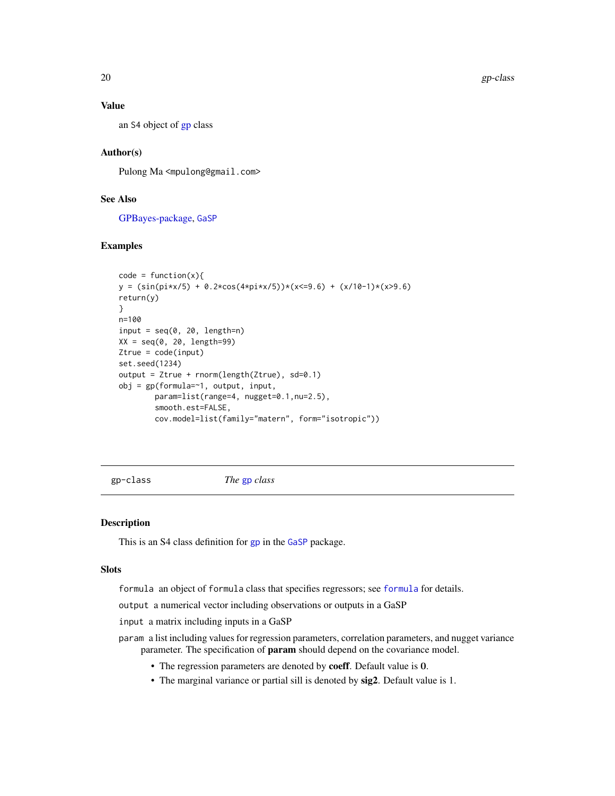# Value

an S4 object of [gp](#page-19-1) class

# Author(s)

Pulong Ma <mpulong@gmail.com>

# See Also

[GPBayes-package,](#page-1-1) [GaSP](#page-12-1)

# Examples

```
code = function(x){
y = (sin(pixx/5) + 0.2xcos(4*pi*x/5))*(x<=9.6) + (x/10-1)*(x>9.6)return(y)
}
n=100
input = seq(0, 20, length=n)XX = seq(0, 20, length=99)Ztrue = code(input)
set.seed(1234)
output = Ztrue + rnorm(length(Ztrue), sd=0.1)
obj = gp(formula=~1, output, input,
       param=list(range=4, nugget=0.1,nu=2.5),
        smooth.est=FALSE,
        cov.model=list(family="matern", form="isotropic"))
```
<span id="page-19-1"></span>gp-class *The* [gp](#page-16-1) *class*

#### Description

This is an S4 class definition for [gp](#page-16-1) in the [GaSP](#page-12-1) package.

#### Slots

formula an object of formula class that specifies regressors; see [formula](#page-0-0) for details.

output a numerical vector including observations or outputs in a GaSP

input a matrix including inputs in a GaSP

param a list including values for regression parameters, correlation parameters, and nugget variance parameter. The specification of param should depend on the covariance model.

- The regression parameters are denoted by coeff. Default value is 0.
- The marginal variance or partial sill is denoted by sig2. Default value is 1.

<span id="page-19-0"></span>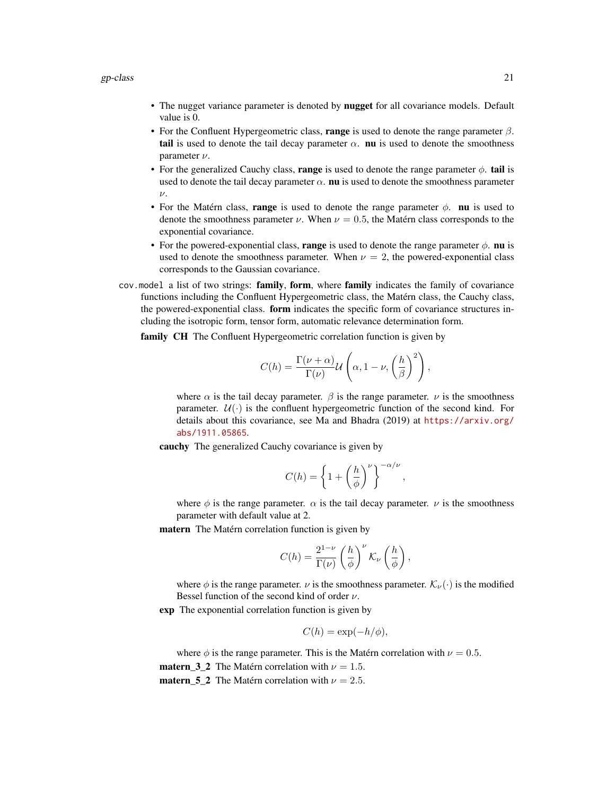- The nugget variance parameter is denoted by **nugget** for all covariance models. Default value is 0.
- For the Confluent Hypergeometric class, range is used to denote the range parameter  $\beta$ . tail is used to denote the tail decay parameter  $\alpha$ . nu is used to denote the smoothness parameter ν.
- For the generalized Cauchy class, **range** is used to denote the range parameter  $\phi$ . tail is used to denote the tail decay parameter  $\alpha$ . nu is used to denote the smoothness parameter  $\nu$ .
- For the Matérn class, **range** is used to denote the range parameter  $\phi$ . **nu** is used to denote the smoothness parameter  $\nu$ . When  $\nu = 0.5$ , the Matérn class corresponds to the exponential covariance.
- For the powered-exponential class, **range** is used to denote the range parameter  $\phi$ . **nu** is used to denote the smoothness parameter. When  $\nu = 2$ , the powered-exponential class corresponds to the Gaussian covariance.
- cov. model a list of two strings: family, form, where family indicates the family of covariance functions including the Confluent Hypergeometric class, the Matérn class, the Cauchy class, the powered-exponential class. form indicates the specific form of covariance structures including the isotropic form, tensor form, automatic relevance determination form.

family CH The Confluent Hypergeometric correlation function is given by

$$
C(h) = \frac{\Gamma(\nu + \alpha)}{\Gamma(\nu)} \mathcal{U}\left(\alpha, 1 - \nu, \left(\frac{h}{\beta}\right)^2\right),\,
$$

where  $\alpha$  is the tail decay parameter.  $\beta$  is the range parameter.  $\nu$  is the smoothness parameter.  $\mathcal{U}(\cdot)$  is the confluent hypergeometric function of the second kind. For details about this covariance, see Ma and Bhadra (2019) at [https://arxiv.org/](https://arxiv.org/abs/1911.05865) [abs/1911.05865](https://arxiv.org/abs/1911.05865).

cauchy The generalized Cauchy covariance is given by

$$
C(h) = \left\{1 + \left(\frac{h}{\phi}\right)^{\nu}\right\}^{-\alpha/\nu},
$$

where  $\phi$  is the range parameter.  $\alpha$  is the tail decay parameter.  $\nu$  is the smoothness parameter with default value at 2.

matern The Matérn correlation function is given by

$$
C(h) = \frac{2^{1-\nu}}{\Gamma(\nu)} \left(\frac{h}{\phi}\right)^{\nu} {\mathcal K}_{\nu}\left(\frac{h}{\phi}\right),
$$

where  $\phi$  is the range parameter.  $\nu$  is the smoothness parameter.  $\mathcal{K}_{\nu}(\cdot)$  is the modified Bessel function of the second kind of order  $\nu$ .

exp The exponential correlation function is given by

$$
C(h) = \exp(-h/\phi),
$$

where  $\phi$  is the range parameter. This is the Matérn correlation with  $\nu = 0.5$ .

**matern\_3\_2** The Matérn correlation with  $\nu = 1.5$ .

**matern\_5\_2** The Matérn correlation with  $\nu = 2.5$ .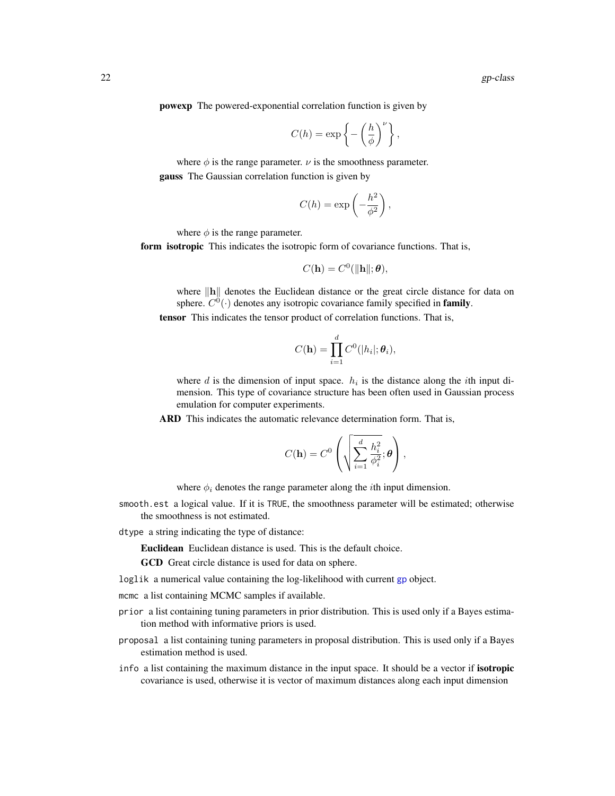<span id="page-21-0"></span>powexp The powered-exponential correlation function is given by

$$
C(h) = \exp\left\{-\left(\frac{h}{\phi}\right)^{\nu}\right\},\,
$$

where  $\phi$  is the range parameter.  $\nu$  is the smoothness parameter. gauss The Gaussian correlation function is given by

$$
C(h) = \exp\left(-\frac{h^2}{\phi^2}\right),\,
$$

where  $\phi$  is the range parameter.

form isotropic This indicates the isotropic form of covariance functions. That is,

$$
C(\mathbf{h}) = C^0(||\mathbf{h}||; \boldsymbol{\theta}),
$$

where  $\|\mathbf{h}\|$  denotes the Euclidean distance or the great circle distance for data on sphere.  $C^0(\cdot)$  denotes any isotropic covariance family specified in family. tensor This indicates the tensor product of correlation functions. That is,

$$
C(\mathbf{h}) = \prod_{i=1}^d C^0(|h_i|; \boldsymbol{\theta}_i),
$$

where  $d$  is the dimension of input space.  $h_i$  is the distance along the *i*th input dimension. This type of covariance structure has been often used in Gaussian process emulation for computer experiments.

ARD This indicates the automatic relevance determination form. That is,

$$
C(\mathbf{h}) = C^0 \left( \sqrt{\sum_{i=1}^d \frac{h_i^2}{\phi_i^2}}; \boldsymbol{\theta} \right),
$$

where  $\phi_i$  denotes the range parameter along the *i*th input dimension.

- smooth.est a logical value. If it is TRUE, the smoothness parameter will be estimated; otherwise the smoothness is not estimated.
- dtype a string indicating the type of distance:

Euclidean Euclidean distance is used. This is the default choice.

GCD Great circle distance is used for data on sphere.

loglik a numerical value containing the log-likelihood with current [gp](#page-16-1) object.

- mcmc a list containing MCMC samples if available.
- prior a list containing tuning parameters in prior distribution. This is used only if a Bayes estimation method with informative priors is used.
- proposal a list containing tuning parameters in proposal distribution. This is used only if a Bayes estimation method is used.
- info a list containing the maximum distance in the input space. It should be a vector if **isotropic** covariance is used, otherwise it is vector of maximum distances along each input dimension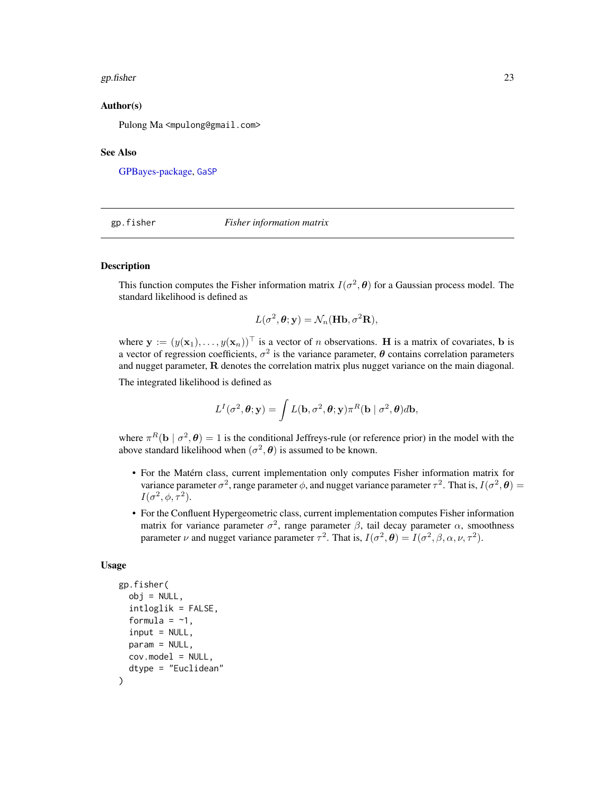#### <span id="page-22-0"></span>gp.fisher  $23$

### Author(s)

Pulong Ma <mpulong@gmail.com>

#### See Also

[GPBayes-package,](#page-1-1) [GaSP](#page-12-1)

gp.fisher *Fisher information matrix*

# **Description**

This function computes the Fisher information matrix  $I(\sigma^2, \theta)$  for a Gaussian process model. The standard likelihood is defined as

$$
L(\sigma^2, \theta; \mathbf{y}) = \mathcal{N}_n(\mathbf{Hb}, \sigma^2 \mathbf{R}),
$$

where  $\mathbf{y} := (y(\mathbf{x}_1), \dots, y(\mathbf{x}_n))^\top$  is a vector of n observations. H is a matrix of covariates, b is a vector of regression coefficients,  $\sigma^2$  is the variance parameter,  $\theta$  contains correlation parameters and nugget parameter, R denotes the correlation matrix plus nugget variance on the main diagonal.

The integrated likelihood is defined as

$$
L^{I}(\sigma^2, \theta; \mathbf{y}) = \int L(\mathbf{b}, \sigma^2, \theta; \mathbf{y}) \pi^R(\mathbf{b} | \sigma^2, \theta) d\mathbf{b},
$$

where  $\pi^R(\mathbf{b} \mid \sigma^2, \theta) = 1$  is the conditional Jeffreys-rule (or reference prior) in the model with the above standard likelihood when  $(\sigma^2, \theta)$  is assumed to be known.

- For the Matérn class, current implementation only computes Fisher information matrix for variance parameter  $\sigma^2$ , range parameter  $\phi$ , and nugget variance parameter  $\tau^2$ . That is,  $I(\sigma^2, \theta) =$  $I(\sigma^2, \phi, \tau^2)$ .
- For the Confluent Hypergeometric class, current implementation computes Fisher information matrix for variance parameter  $\sigma^2$ , range parameter  $\beta$ , tail decay parameter  $\alpha$ , smoothness parameter  $\nu$  and nugget variance parameter  $\tau^2$ . That is,  $I(\sigma^2, \theta) = I(\sigma^2, \beta, \alpha, \nu, \tau^2)$ .

#### Usage

```
gp.fisher(
  obj = NULL,intloglik = FALSE,
  formula = -1,
  input = NULL,param = NULL,
 cov.model = NULL,dtype = "Euclidean"
)
```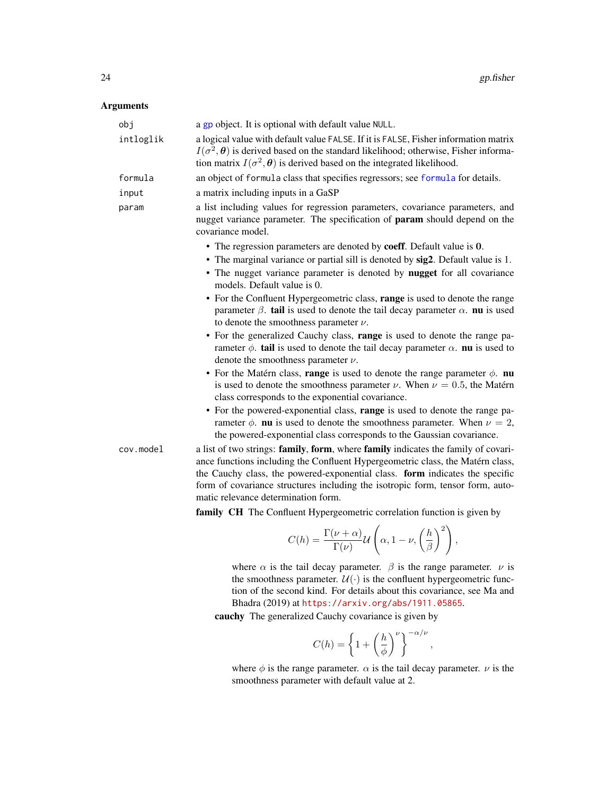# <span id="page-23-0"></span>Arguments

| obj       | a gp object. It is optional with default value NULL.                                                                                                                                                                                                                                                                                                                         |
|-----------|------------------------------------------------------------------------------------------------------------------------------------------------------------------------------------------------------------------------------------------------------------------------------------------------------------------------------------------------------------------------------|
| intloglik | a logical value with default value FALSE. If it is FALSE, Fisher information matrix<br>$I(\sigma^2, \theta)$ is derived based on the standard likelihood; otherwise, Fisher informa-<br>tion matrix $I(\sigma^2, \theta)$ is derived based on the integrated likelihood.                                                                                                     |
| formula   | an object of formula class that specifies regressors; see formula for details.                                                                                                                                                                                                                                                                                               |
| input     | a matrix including inputs in a GaSP                                                                                                                                                                                                                                                                                                                                          |
| param     | a list including values for regression parameters, covariance parameters, and<br>nugget variance parameter. The specification of param should depend on the<br>covariance model.                                                                                                                                                                                             |
|           | • The regression parameters are denoted by coeff. Default value is 0.                                                                                                                                                                                                                                                                                                        |
|           | • The marginal variance or partial sill is denoted by sig2. Default value is 1.                                                                                                                                                                                                                                                                                              |
|           | • The nugget variance parameter is denoted by nugget for all covariance<br>models. Default value is 0.                                                                                                                                                                                                                                                                       |
|           | • For the Confluent Hypergeometric class, range is used to denote the range<br>parameter $\beta$ . tail is used to denote the tail decay parameter $\alpha$ . nu is used<br>to denote the smoothness parameter $\nu$ .                                                                                                                                                       |
|           | • For the generalized Cauchy class, range is used to denote the range pa-<br>rameter $\phi$ . tail is used to denote the tail decay parameter $\alpha$ . nu is used to<br>denote the smoothness parameter $\nu$ .                                                                                                                                                            |
|           | • For the Matérn class, range is used to denote the range parameter $\phi$ . nu<br>is used to denote the smoothness parameter $\nu$ . When $\nu = 0.5$ , the Matérn<br>class corresponds to the exponential covariance.                                                                                                                                                      |
|           | • For the powered-exponential class, range is used to denote the range pa-<br>rameter $\phi$ . <b>nu</b> is used to denote the smoothness parameter. When $\nu = 2$ ,<br>the powered-exponential class corresponds to the Gaussian covariance.                                                                                                                               |
| cov.model | a list of two strings: family, form, where family indicates the family of covari-<br>ance functions including the Confluent Hypergeometric class, the Matérn class,<br>the Cauchy class, the powered-exponential class. form indicates the specific<br>form of covariance structures including the isotropic form, tensor form, auto-<br>matic relevance determination form. |
|           | family CH The Confluent Hypergeometric correlation function is given by                                                                                                                                                                                                                                                                                                      |
|           | $C(h) = \frac{\Gamma(\nu + \alpha)}{\Gamma(\nu)} \mathcal{U}\left(\alpha, 1 - \nu, \left(\frac{h}{\beta}\right)^2\right),$                                                                                                                                                                                                                                                   |
|           | where $\alpha$ is the tail decay parameter. $\beta$ is the range parameter. $\nu$ is<br>the smoothness parameter. $\mathcal{U}(\cdot)$ is the confluent hypergeometric func-<br>tion of the second kind. For details about this covariance, see Ma and<br>Bhadra (2019) at https://arxiv.org/abs/1911.05865.<br>cauchy The generalized Cauchy covariance is given by         |
|           |                                                                                                                                                                                                                                                                                                                                                                              |

$$
C(h) = \left\{1 + \left(\frac{h}{\phi}\right)^{\nu}\right\}^{-\alpha/\nu},
$$

where  $\phi$  is the range parameter.  $\alpha$  is the tail decay parameter.  $\nu$  is the smoothness parameter with default value at 2.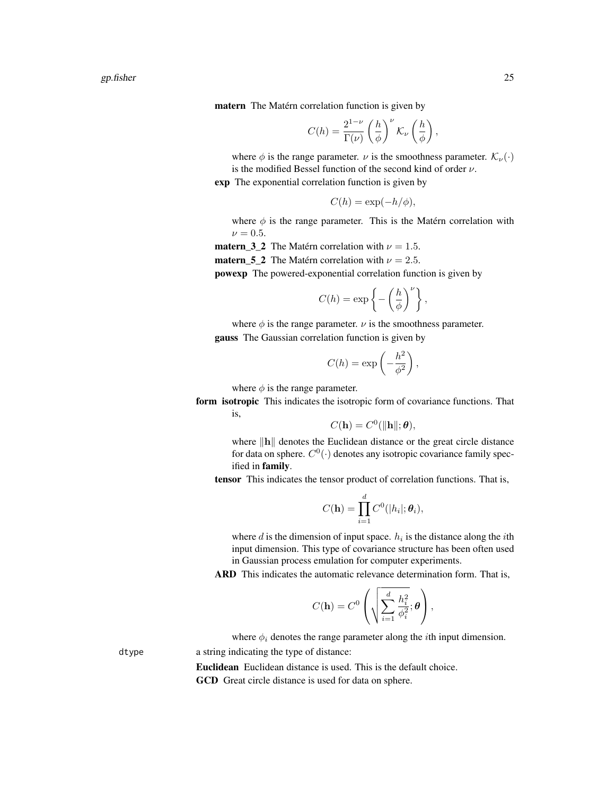matern The Matérn correlation function is given by

$$
C(h) = \frac{2^{1-\nu}}{\Gamma(\nu)}\left(\frac{h}{\phi}\right)^{\nu} {\cal K}_{\nu}\left(\frac{h}{\phi}\right),
$$

where  $\phi$  is the range parameter.  $\nu$  is the smoothness parameter.  $\mathcal{K}_{\nu}(\cdot)$ is the modified Bessel function of the second kind of order  $\nu$ .

exp The exponential correlation function is given by

$$
C(h) = \exp(-h/\phi),
$$

where  $\phi$  is the range parameter. This is the Matérn correlation with  $\nu = 0.5$ .

**matern** 3 2 The Matérn correlation with  $\nu = 1.5$ .

**matern\_5\_2** The Matérn correlation with  $\nu = 2.5$ .

powexp The powered-exponential correlation function is given by

$$
C(h) = \exp\left\{-\left(\frac{h}{\phi}\right)^{\nu}\right\},\,
$$

where  $\phi$  is the range parameter.  $\nu$  is the smoothness parameter.

gauss The Gaussian correlation function is given by

$$
C(h) = \exp\left(-\frac{h^2}{\phi^2}\right),\,
$$

where  $\phi$  is the range parameter.

form isotropic This indicates the isotropic form of covariance functions. That is,

$$
C(\mathbf{h}) = C^0(||\mathbf{h}||; \boldsymbol{\theta}),
$$

where  $\Vert \mathbf{h} \Vert$  denotes the Euclidean distance or the great circle distance for data on sphere.  $C^0(\cdot)$  denotes any isotropic covariance family specified in family.

tensor This indicates the tensor product of correlation functions. That is,

$$
C(\mathbf{h}) = \prod_{i=1}^d C^0(|h_i|; \theta_i),
$$

where  $d$  is the dimension of input space.  $h_i$  is the distance along the *i*th input dimension. This type of covariance structure has been often used in Gaussian process emulation for computer experiments.

ARD This indicates the automatic relevance determination form. That is,

$$
C(\mathbf{h}) = C^0 \left( \sqrt{\sum_{i=1}^d \frac{h_i^2}{\phi_i^2}}; \boldsymbol{\theta} \right),
$$

where  $\phi_i$  denotes the range parameter along the *i*th input dimension.

dtype a string indicating the type of distance: Euclidean Euclidean distance is used. This is the default choice.

GCD Great circle distance is used for data on sphere.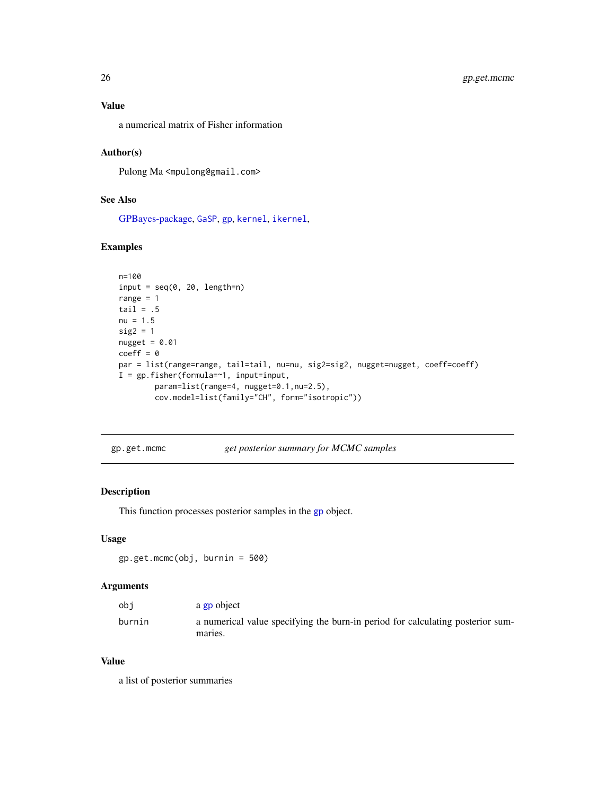#### <span id="page-25-0"></span>Value

a numerical matrix of Fisher information

### Author(s)

Pulong Ma <mpulong@gmail.com>

# See Also

[GPBayes-package,](#page-1-1) [GaSP](#page-12-1), [gp](#page-16-1), [kernel](#page-39-1), [ikernel](#page-37-1),

#### Examples

```
n=100
input = seq(0, 20, length=n)range = 1
tail = .5
nu = 1.5sig2 = 1nugget = 0.01coeff = 0par = list(range=range, tail=tail, nu=nu, sig2=sig2, nugget=nugget, coeff=coeff)
I = gp.fisher(formula=~1, input=input,
        param=list(range=4, nugget=0.1,nu=2.5),
        cov.model=list(family="CH", form="isotropic"))
```
gp.get.mcmc *get posterior summary for MCMC samples*

# Description

This function processes posterior samples in the [gp](#page-16-1) object.

#### Usage

gp.get.mcmc(obj, burnin = 500)

#### Arguments

| obi    | a gp object                                                                               |
|--------|-------------------------------------------------------------------------------------------|
| burnin | a numerical value specifying the burn-in period for calculating posterior sum-<br>maries. |

# Value

a list of posterior summaries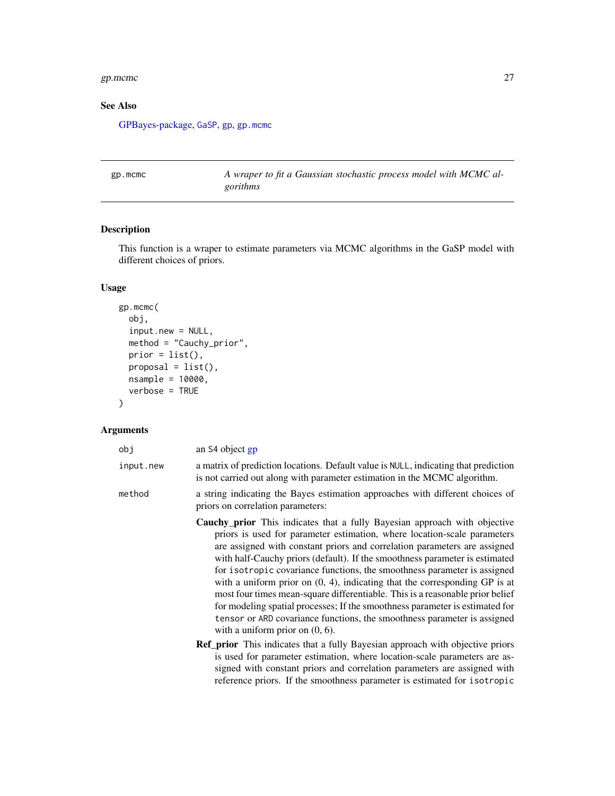#### <span id="page-26-0"></span>gp.mcmc  $27$

# See Also

[GPBayes-package,](#page-1-1) [GaSP](#page-12-1), [gp](#page-16-1), [gp.mcmc](#page-26-1)

<span id="page-26-1"></span>gp.mcmc *A wraper to fit a Gaussian stochastic process model with MCMC algorithms*

# Description

This function is a wraper to estimate parameters via MCMC algorithms in the GaSP model with different choices of priors.

# Usage

```
gp.mcmc(
 obj,
  input.new = NULL,
 method = "Cauchy_prior",
 prior = list(),proposal = list(),
 nsample = 10000,
  verbose = TRUE
)
```
# Arguments

| obj       | an S4 object gp                                                                                                                                                                                                                                                                                                                                                                                                                                                                                                                                                                                                                                                                                                                                                          |
|-----------|--------------------------------------------------------------------------------------------------------------------------------------------------------------------------------------------------------------------------------------------------------------------------------------------------------------------------------------------------------------------------------------------------------------------------------------------------------------------------------------------------------------------------------------------------------------------------------------------------------------------------------------------------------------------------------------------------------------------------------------------------------------------------|
| input.new | a matrix of prediction locations. Default value is NULL, indicating that prediction<br>is not carried out along with parameter estimation in the MCMC algorithm.                                                                                                                                                                                                                                                                                                                                                                                                                                                                                                                                                                                                         |
| method    | a string indicating the Bayes estimation approaches with different choices of<br>priors on correlation parameters:                                                                                                                                                                                                                                                                                                                                                                                                                                                                                                                                                                                                                                                       |
|           | <b>Cauchy prior</b> This indicates that a fully Bayesian approach with objective<br>priors is used for parameter estimation, where location-scale parameters<br>are assigned with constant priors and correlation parameters are assigned<br>with half-Cauchy priors (default). If the smoothness parameter is estimated<br>for isotropic covariance functions, the smoothness parameter is assigned<br>with a uniform prior on $(0, 4)$ , indicating that the corresponding GP is at<br>most four times mean-square differentiable. This is a reasonable prior belief<br>for modeling spatial processes; If the smoothness parameter is estimated for<br>tensor or ARD covariance functions, the smoothness parameter is assigned<br>with a uniform prior on $(0, 6)$ . |
|           | <b>Ref_prior</b> This indicates that a fully Bayesian approach with objective priors<br>is used for parameter estimation, where location-scale parameters are as-<br>signed with constant priors and correlation parameters are assigned with<br>reference priors. If the smoothness parameter is estimated for isotropic                                                                                                                                                                                                                                                                                                                                                                                                                                                |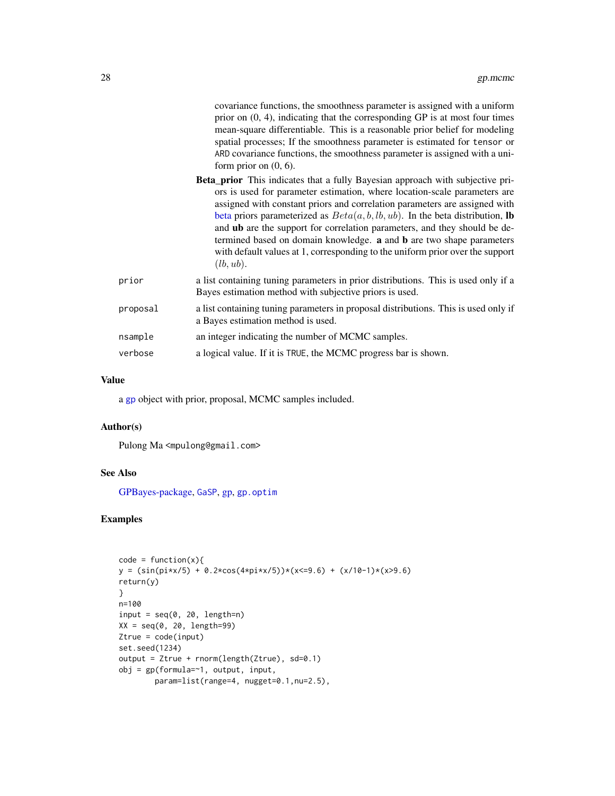<span id="page-27-0"></span>

|          | covariance functions, the smoothness parameter is assigned with a uniform<br>prior on $(0, 4)$ , indicating that the corresponding GP is at most four times<br>mean-square differentiable. This is a reasonable prior belief for modeling<br>spatial processes; If the smoothness parameter is estimated for tensor or<br>ARD covariance functions, the smoothness parameter is assigned with a uni-<br>form prior on $(0, 6)$ .                                                                                                                                                                            |
|----------|-------------------------------------------------------------------------------------------------------------------------------------------------------------------------------------------------------------------------------------------------------------------------------------------------------------------------------------------------------------------------------------------------------------------------------------------------------------------------------------------------------------------------------------------------------------------------------------------------------------|
|          | <b>Beta_prior</b> This indicates that a fully Bayesian approach with subjective pri-<br>ors is used for parameter estimation, where location-scale parameters are<br>assigned with constant priors and correlation parameters are assigned with<br>beta priors parameterized as $Beta(a, b, lb, ub)$ . In the beta distribution, <b>lb</b><br>and <b>ub</b> are the support for correlation parameters, and they should be de-<br>termined based on domain knowledge. a and <b>b</b> are two shape parameters<br>with default values at 1, corresponding to the uniform prior over the support<br>(lb, ub). |
| prior    | a list containing tuning parameters in prior distributions. This is used only if a<br>Bayes estimation method with subjective priors is used.                                                                                                                                                                                                                                                                                                                                                                                                                                                               |
| proposal | a list containing tuning parameters in proposal distributions. This is used only if<br>a Bayes estimation method is used.                                                                                                                                                                                                                                                                                                                                                                                                                                                                                   |
| nsample  | an integer indicating the number of MCMC samples.                                                                                                                                                                                                                                                                                                                                                                                                                                                                                                                                                           |
| verbose  | a logical value. If it is TRUE, the MCMC progress bar is shown.                                                                                                                                                                                                                                                                                                                                                                                                                                                                                                                                             |

#### Value

a [gp](#page-16-1) object with prior, proposal, MCMC samples included.

# Author(s)

Pulong Ma <mpulong@gmail.com>

# See Also

[GPBayes-package,](#page-1-1) [GaSP](#page-12-1), [gp,](#page-19-1) [gp.optim](#page-30-1)

# Examples

```
code = function(x)y = (sin(pix/5) + 0.2xcos(4*pi*x/5))*(x<=9.6) + (x/10-1)*(x>9.6)return(y)
}
n=100
input = seq(0, 20, length=n)XX = seq(0, 20, length=99)Ztrue = code(input)
set.seed(1234)
output = Ztrue + rnorm(length(Ztrue), sd=0.1)
obj = gp(formula=~1, output, input,
        param=list(range=4, nugget=0.1,nu=2.5),
```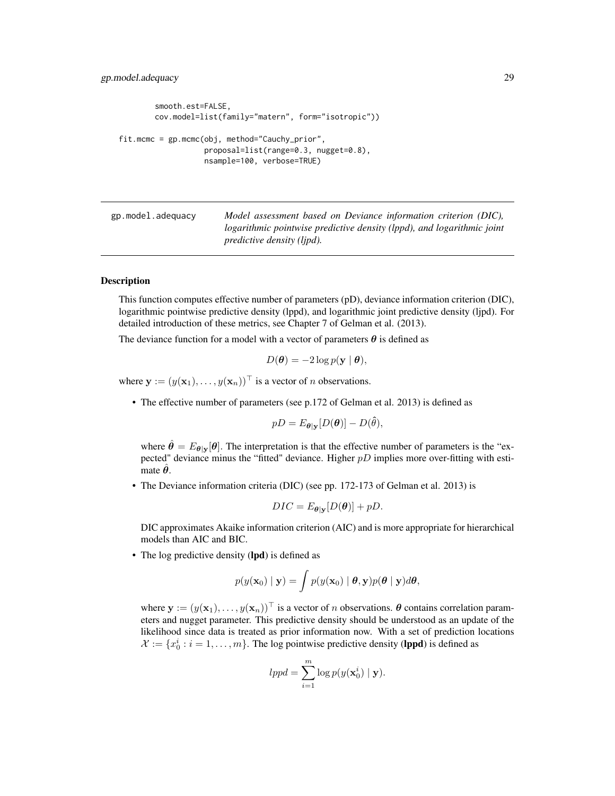```
smooth.est=FALSE,
       cov.model=list(family="matern", form="isotropic"))
fit.mcmc = gp.mcmc(obj, method="Cauchy_prior",
                  proposal=list(range=0.3, nugget=0.8),
                   nsample=100, verbose=TRUE)
```
<span id="page-28-1"></span>

| gp.model.adequacy | Model assessment based on Deviance information criterion (DIC),        |
|-------------------|------------------------------------------------------------------------|
|                   | logarithmic pointwise predictive density (lppd), and logarithmic joint |
|                   | <i>predictive density (lipd).</i>                                      |

This function computes effective number of parameters (pD), deviance information criterion (DIC), logarithmic pointwise predictive density (lppd), and logarithmic joint predictive density (ljpd). For detailed introduction of these metrics, see Chapter 7 of Gelman et al. (2013).

The deviance function for a model with a vector of parameters  $\theta$  is defined as

$$
D(\boldsymbol{\theta}) = -2\log p(\mathbf{y} \mid \boldsymbol{\theta}),
$$

where  $\mathbf{y} := (y(\mathbf{x}_1), \dots, y(\mathbf{x}_n))^{\top}$  is a vector of *n* observations.

• The effective number of parameters (see p.172 of Gelman et al. 2013) is defined as

$$
pD = E_{\boldsymbol{\theta}|\mathbf{y}}[D(\boldsymbol{\theta})] - D(\hat{\theta}),
$$

where  $\hat{\theta} = E_{\theta | y}[\theta]$ . The interpretation is that the effective number of parameters is the "expected" deviance minus the "fitted" deviance. Higher  $pD$  implies more over-fitting with estimate  $\hat{\theta}$ .

• The Deviance information criteria (DIC) (see pp. 172-173 of Gelman et al. 2013) is

$$
DIC = E_{\theta|\mathbf{y}}[D(\theta)] + pD.
$$

DIC approximates Akaike information criterion (AIC) and is more appropriate for hierarchical models than AIC and BIC.

• The log predictive density (lpd) is defined as

$$
p(y(\mathbf{x}_0) | \mathbf{y}) = \int p(y(\mathbf{x}_0) | \boldsymbol{\theta}, \mathbf{y}) p(\boldsymbol{\theta} | \mathbf{y}) d\boldsymbol{\theta},
$$

where  $\mathbf{y} := (y(\mathbf{x}_1), \dots, y(\mathbf{x}_n))^{\top}$  is a vector of *n* observations.  $\boldsymbol{\theta}$  contains correlation parameters and nugget parameter. This predictive density should be understood as an update of the likelihood since data is treated as prior information now. With a set of prediction locations  $\mathcal{X} := \{x_0^i : i = 1, \dots, m\}$ . The log pointwise predictive density (**lppd**) is defined as

$$
lppd = \sum_{i=1}^{m} \log p(y(\mathbf{x}_0^i) \mid \mathbf{y}).
$$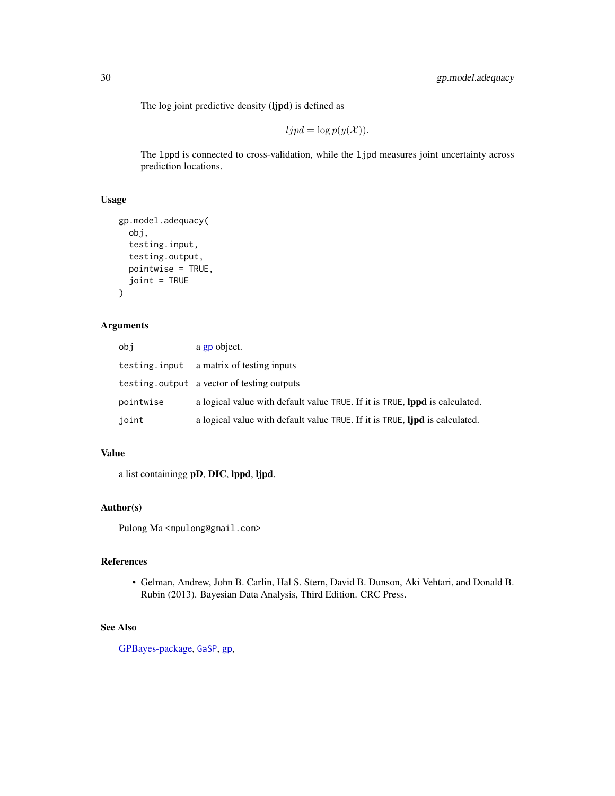<span id="page-29-0"></span>The log joint predictive density (ljpd) is defined as

$$
ljpd = \log p(y(\mathcal{X})).
$$

The lppd is connected to cross-validation, while the ljpd measures joint uncertainty across prediction locations.

# Usage

```
gp.model.adequacy(
  obj,
  testing.input,
  testing.output,
  pointwise = TRUE,
  joint = TRUE
\mathcal{L}
```
# Arguments

| obj       | a gp object.                                                                       |
|-----------|------------------------------------------------------------------------------------|
|           | testing.input a matrix of testing inputs                                           |
|           | testing output a vector of testing outputs                                         |
| pointwise | a logical value with default value TRUE. If it is TRUE, <b>lppd</b> is calculated. |
| joint     | a logical value with default value TRUE. If it is TRUE, lipd is calculated.        |

# Value

a list containingg pD, DIC, lppd, ljpd.

# Author(s)

Pulong Ma <mpulong@gmail.com>

# References

• Gelman, Andrew, John B. Carlin, Hal S. Stern, David B. Dunson, Aki Vehtari, and Donald B. Rubin (2013). Bayesian Data Analysis, Third Edition. CRC Press.

# See Also

[GPBayes-package,](#page-1-1) [GaSP](#page-12-1), [gp](#page-16-1),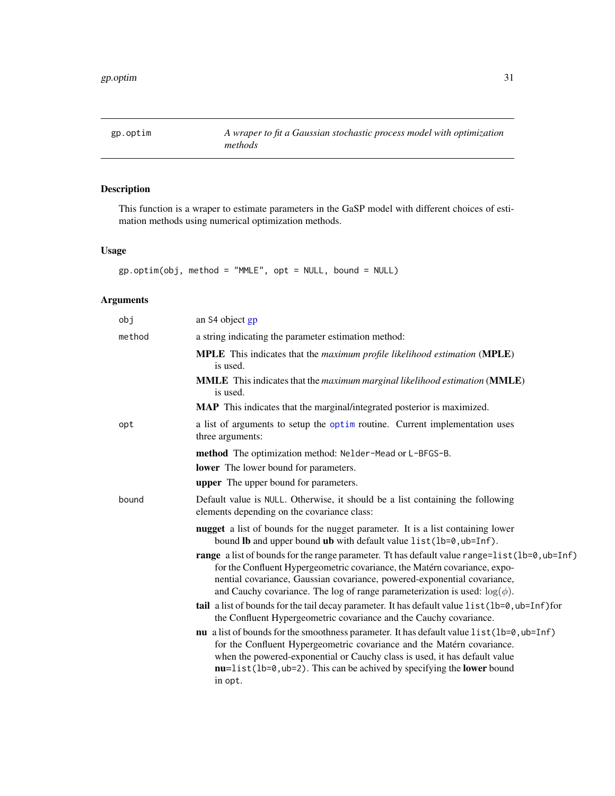<span id="page-30-1"></span><span id="page-30-0"></span>

This function is a wraper to estimate parameters in the GaSP model with different choices of estimation methods using numerical optimization methods.

# Usage

```
gp.optim(obj, method = "MMLE", opt = NULL, bound = NULL)
```
# Arguments

| obj    | an S4 object gp                                                                                                                                                                                                                                                                                                                                   |
|--------|---------------------------------------------------------------------------------------------------------------------------------------------------------------------------------------------------------------------------------------------------------------------------------------------------------------------------------------------------|
| method | a string indicating the parameter estimation method:                                                                                                                                                                                                                                                                                              |
|        | <b>MPLE</b> This indicates that the <i>maximum profile likelihood estimation</i> (MPLE)<br>is used.                                                                                                                                                                                                                                               |
|        | <b>MMLE</b> This indicates that the <i>maximum marginal likelihood estimation</i> (MMLE)<br>is used.                                                                                                                                                                                                                                              |
|        | MAP This indicates that the marginal/integrated posterior is maximized.                                                                                                                                                                                                                                                                           |
| opt    | a list of arguments to setup the optim routine. Current implementation uses<br>three arguments:                                                                                                                                                                                                                                                   |
|        | method The optimization method: Nelder-Mead or L-BFGS-B.                                                                                                                                                                                                                                                                                          |
|        | lower The lower bound for parameters.                                                                                                                                                                                                                                                                                                             |
|        | <b>upper</b> The upper bound for parameters.                                                                                                                                                                                                                                                                                                      |
| bound  | Default value is NULL. Otherwise, it should be a list containing the following<br>elements depending on the covariance class:                                                                                                                                                                                                                     |
|        | nugget a list of bounds for the nugget parameter. It is a list containing lower<br>bound <b>lb</b> and upper bound <b>ub</b> with default value list(lb=0, ub=Inf).                                                                                                                                                                               |
|        | range a list of bounds for the range parameter. Tt has default value range=list(lb=0, ub=Inf)<br>for the Confluent Hypergeometric covariance, the Matérn covariance, expo-<br>nential covariance, Gaussian covariance, powered-exponential covariance,<br>and Cauchy covariance. The log of range parameterization is used: $log(\phi)$ .         |
|        | tail a list of bounds for the tail decay parameter. It has default value list (lb=0, ub=Inf) for<br>the Confluent Hypergeometric covariance and the Cauchy covariance.                                                                                                                                                                            |
|        | nu a list of bounds for the smoothness parameter. It has default value list (1b=0, ub=Inf)<br>for the Confluent Hypergeometric covariance and the Matérn covariance.<br>when the powered-exponential or Cauchy class is used, it has default value<br>$nu=list(lb=0, ub=2)$ . This can be achived by specifying the <b>lower</b> bound<br>in opt. |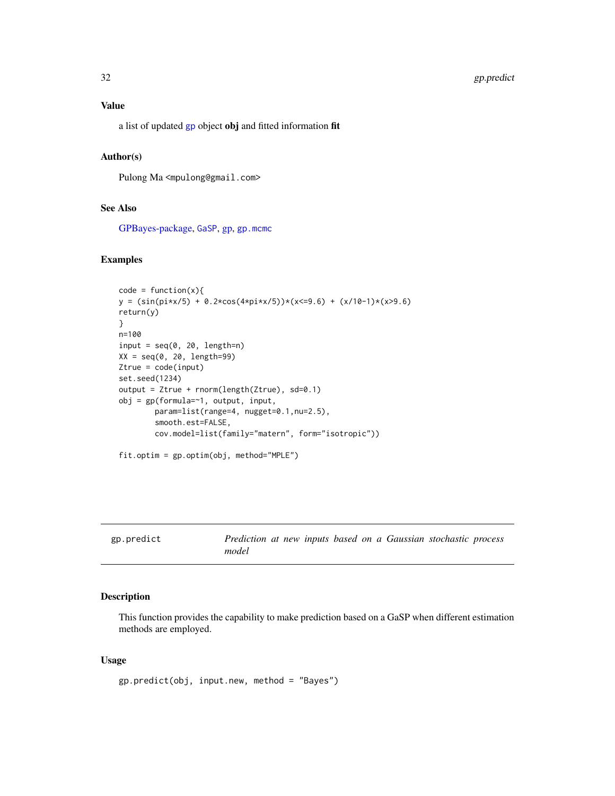# <span id="page-31-0"></span>32 gp.predict

# Value

a list of updated [gp](#page-16-1) object obj and fitted information fit

# Author(s)

Pulong Ma <mpulong@gmail.com>

# See Also

[GPBayes-package,](#page-1-1) [GaSP](#page-12-1), [gp,](#page-19-1) [gp.mcmc](#page-26-1)

# Examples

```
code = function(x){
y = (sin(pixx/5) + 0.2xcos(4*pi*x/5))*(x<=9.6) + (x/10-1)*(x>9.6)return(y)
}
n=100
input = seq(0, 20, length=n)XX = seq(0, 20, length=99)Ztrue = code(input)
set.seed(1234)
output = Ztrue + rnorm(length(Ztrue), sd=0.1)
obj = gp(formula==1, output, input,param=list(range=4, nugget=0.1,nu=2.5),
        smooth.est=FALSE,
        cov.model=list(family="matern", form="isotropic"))
fit.optim = gp.optim(obj, method="MPLE")
```
<span id="page-31-1"></span>

| gp.predict | Prediction at new inputs based on a Gaussian stochastic process |  |  |  |  |  |
|------------|-----------------------------------------------------------------|--|--|--|--|--|
|            | model                                                           |  |  |  |  |  |

# Description

This function provides the capability to make prediction based on a GaSP when different estimation methods are employed.

#### Usage

gp.predict(obj, input.new, method = "Bayes")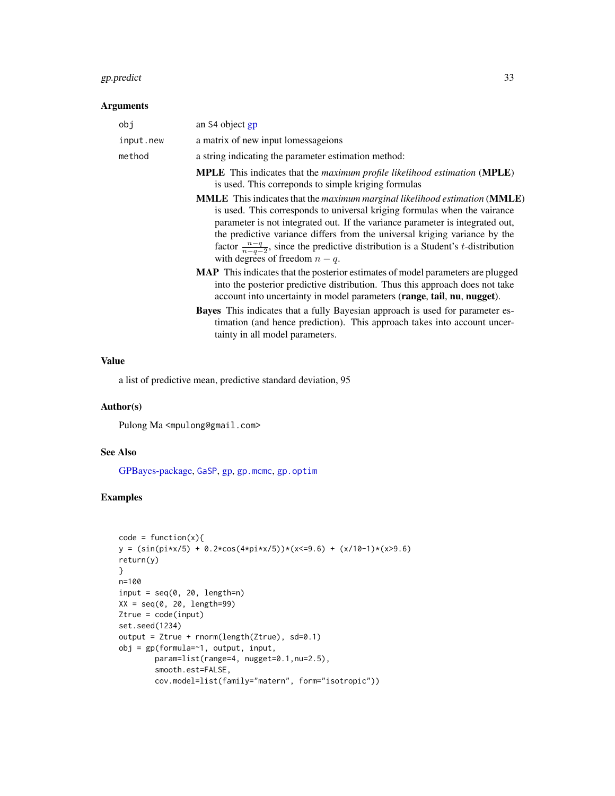# <span id="page-32-0"></span>gp.predict 33

#### Arguments

| obj       | an S4 object gp                                                                                                                                                                                                                                                                                                                                                                                                                                                                                                                                                                                        |
|-----------|--------------------------------------------------------------------------------------------------------------------------------------------------------------------------------------------------------------------------------------------------------------------------------------------------------------------------------------------------------------------------------------------------------------------------------------------------------------------------------------------------------------------------------------------------------------------------------------------------------|
| input.new | a matrix of new input lomessageions                                                                                                                                                                                                                                                                                                                                                                                                                                                                                                                                                                    |
| method    | a string indicating the parameter estimation method:                                                                                                                                                                                                                                                                                                                                                                                                                                                                                                                                                   |
|           | <b>MPLE</b> This indicates that the maximum profile likelihood estimation (MPLE)<br>is used. This correponds to simple kriging formulas<br>MMLE This indicates that the maximum marginal likelihood estimation (MMLE)<br>is used. This corresponds to universal kriging formulas when the vairance<br>parameter is not integrated out. If the variance parameter is integrated out,<br>the predictive variance differs from the universal kriging variance by the<br>factor $\frac{n-q}{n-q-2}$ , since the predictive distribution is a Student's t-distribution<br>with degrees of freedom $n - q$ . |
|           | <b>MAP</b> This indicates that the posterior estimates of model parameters are plugged<br>into the posterior predictive distribution. Thus this approach does not take<br>account into uncertainty in model parameters (range, tail, nu, nugget).<br><b>Bayes</b> This indicates that a fully Bayesian approach is used for parameter es-<br>timation (and hence prediction). This approach takes into account uncer-<br>tainty in all model parameters.                                                                                                                                               |

#### Value

a list of predictive mean, predictive standard deviation, 95

# Author(s)

Pulong Ma <mpulong@gmail.com>

# See Also

[GPBayes-package,](#page-1-1) [GaSP](#page-12-1), [gp,](#page-19-1) [gp.mcmc](#page-26-1), [gp.optim](#page-30-1)

# Examples

```
code = function(x){
y = (sin(pixx/5) + 0.2xcos(4*pi*x/5))*(x<=9.6) + (x/10-1)*(x>9.6)return(y)
}
n=100
input = seq(0, 20, length=n)XX = seq(0, 20, length=99)Ztrue = code(input)
set.seed(1234)
output = Ztrue + rnorm(length(Ztrue), sd=0.1)
obj = gp(formula=~1, output, input,
        param=list(range=4, nugget=0.1,nu=2.5),
        smooth.est=FALSE,
        cov.model=list(family="matern", form="isotropic"))
```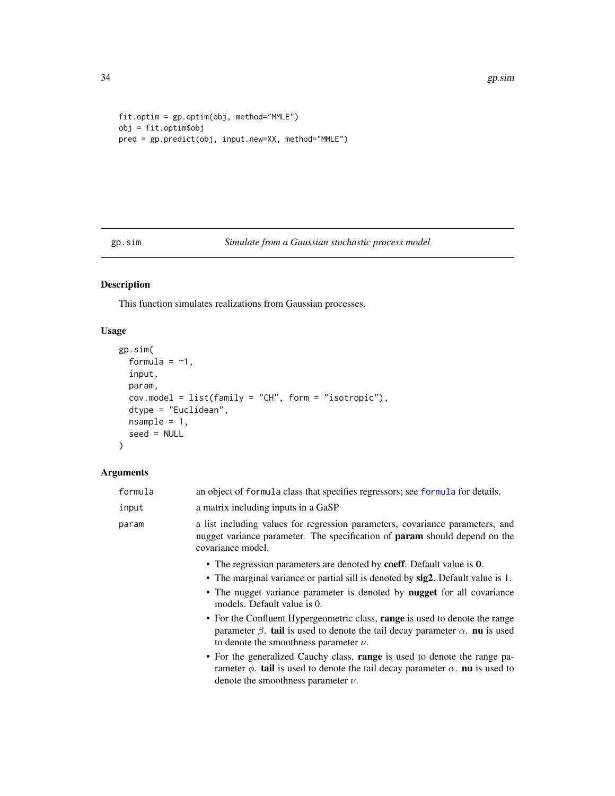```
fit.optim = gp.optim(obj, method="MMLE")
obj = fit.optim$obj
pred = gp.predict(obj, input.new=XX, method="MMLE")
```
# <span id="page-33-1"></span>gp.sim *Simulate from a Gaussian stochastic process model*

# Description

This function simulates realizations from Gaussian processes.

# Usage

```
gp.sim(
  formula = -1,
  input,
  param,
  cov.model = list(family = "CH", form = "isotropic"),
  dtype = "Euclidean",
  nsample = 1,
  seed = NULL
)
```
# Arguments

| formula | an object of formula class that specifies regressors; see formula for details.                                                                                                                                                         |  |
|---------|----------------------------------------------------------------------------------------------------------------------------------------------------------------------------------------------------------------------------------------|--|
| input   | a matrix including inputs in a GaSP                                                                                                                                                                                                    |  |
| param   | a list including values for regression parameters, covariance parameters, and<br>nugget variance parameter. The specification of <b>param</b> should depend on the<br>covariance model.                                                |  |
|         | • The regression parameters are denoted by coeff. Default value is 0.                                                                                                                                                                  |  |
|         | • The marginal variance or partial sill is denoted by sig2. Default value is 1.                                                                                                                                                        |  |
|         | • The nugget variance parameter is denoted by <b>nugget</b> for all covariance<br>models. Default value is 0.                                                                                                                          |  |
|         | • For the Confluent Hypergeometric class, <b>range</b> is used to denote the range<br>parameter $\beta$ . tail is used to denote the tail decay parameter $\alpha$ . nu is used<br>to denote the smoothness parameter $\nu$ .          |  |
|         | • For the generalized Cauchy class, <b>range</b> is used to denote the range pa-<br>rameter $\phi$ . <b>tail</b> is used to denote the tail decay parameter $\alpha$ . <b>nu</b> is used to<br>denote the smoothness parameter $\nu$ . |  |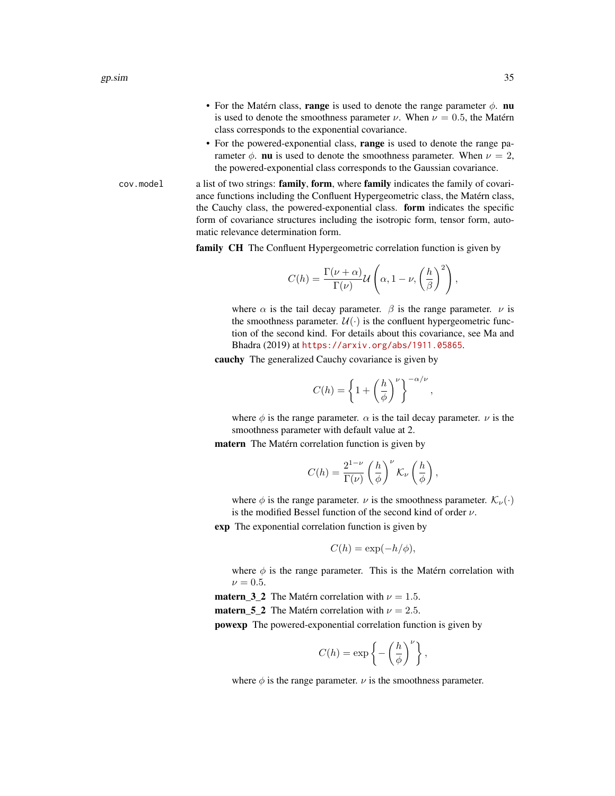- For the Matérn class, range is used to denote the range parameter  $\phi$ . nu is used to denote the smoothness parameter  $\nu$ . When  $\nu = 0.5$ , the Matérn class corresponds to the exponential covariance.
- For the powered-exponential class, range is used to denote the range parameter  $\phi$ . **nu** is used to denote the smoothness parameter. When  $\nu = 2$ , the powered-exponential class corresponds to the Gaussian covariance.

cov.model a list of two strings: family, form, where family indicates the family of covariance functions including the Confluent Hypergeometric class, the Matérn class, the Cauchy class, the powered-exponential class. form indicates the specific form of covariance structures including the isotropic form, tensor form, automatic relevance determination form.

family CH The Confluent Hypergeometric correlation function is given by

$$
C(h) = \frac{\Gamma(\nu + \alpha)}{\Gamma(\nu)} \mathcal{U}\left(\alpha, 1 - \nu, \left(\frac{h}{\beta}\right)^2\right),\,
$$

where  $\alpha$  is the tail decay parameter.  $\beta$  is the range parameter.  $\nu$  is the smoothness parameter.  $\mathcal{U}(\cdot)$  is the confluent hypergeometric function of the second kind. For details about this covariance, see Ma and Bhadra (2019) at <https://arxiv.org/abs/1911.05865>.

cauchy The generalized Cauchy covariance is given by

$$
C(h)=\left\{1+\left(\frac{h}{\phi}\right)^{\nu}\right\}^{-\alpha/\nu},
$$

where  $\phi$  is the range parameter.  $\alpha$  is the tail decay parameter.  $\nu$  is the smoothness parameter with default value at 2.

matern The Matérn correlation function is given by

$$
C(h) = \frac{2^{1-\nu}}{\Gamma(\nu)} \left(\frac{h}{\phi}\right)^{\nu} {\cal K}_{\nu}\left(\frac{h}{\phi}\right),
$$

where  $\phi$  is the range parameter.  $\nu$  is the smoothness parameter.  $\mathcal{K}_{\nu}(\cdot)$ is the modified Bessel function of the second kind of order  $\nu$ .

exp The exponential correlation function is given by

$$
C(h) = \exp(-h/\phi),
$$

where  $\phi$  is the range parameter. This is the Matérn correlation with  $\nu = 0.5$ .

**matern** 3 2 The Matérn correlation with  $\nu = 1.5$ .

**matern 5.2** The Matérn correlation with  $\nu = 2.5$ .

powexp The powered-exponential correlation function is given by

$$
C(h) = \exp\left\{-\left(\frac{h}{\phi}\right)^{\nu}\right\},\,
$$

where  $\phi$  is the range parameter.  $\nu$  is the smoothness parameter.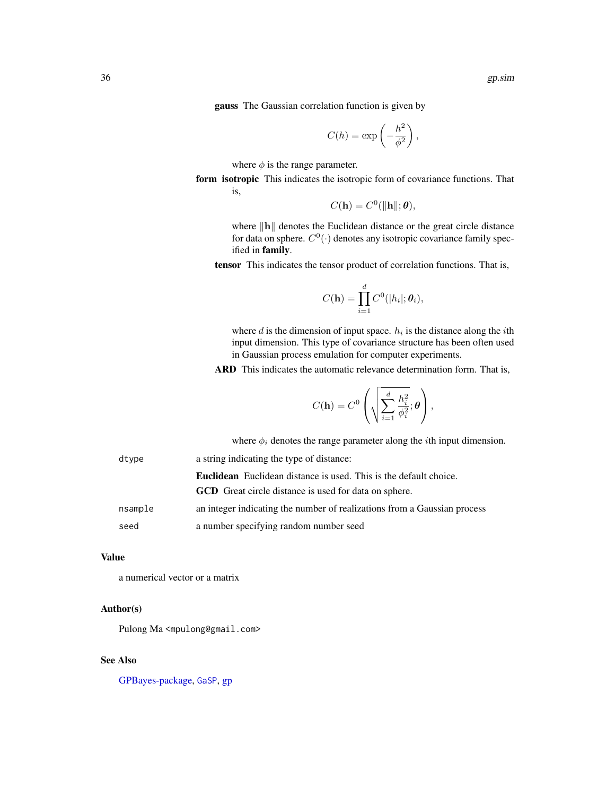<span id="page-35-0"></span>gauss The Gaussian correlation function is given by

$$
C(h) = \exp\left(-\frac{h^2}{\phi^2}\right),\,
$$

where  $\phi$  is the range parameter.

form isotropic This indicates the isotropic form of covariance functions. That is,

$$
C(\mathbf{h}) = C^0(||\mathbf{h}||; \boldsymbol{\theta}),
$$

where  $\|\mathbf{h}\|$  denotes the Euclidean distance or the great circle distance for data on sphere.  $C^0(\cdot)$  denotes any isotropic covariance family specified in family.

tensor This indicates the tensor product of correlation functions. That is,

$$
C(\mathbf{h}) = \prod_{i=1}^d C^0(|h_i|; \theta_i),
$$

where  $d$  is the dimension of input space.  $h_i$  is the distance along the *i*th input dimension. This type of covariance structure has been often used in Gaussian process emulation for computer experiments.

ARD This indicates the automatic relevance determination form. That is,

$$
C(\mathbf{h}) = C^0 \left( \sqrt{\sum_{i=1}^d \frac{h_i^2}{\phi_i^2}}; \boldsymbol{\theta} \right),
$$

where  $\phi_i$  denotes the range parameter along the *i*th input dimension.

| dtype   | a string indicating the type of distance:                                |
|---------|--------------------------------------------------------------------------|
|         | <b>Euclidean</b> Euclidean distance is used. This is the default choice. |
|         | <b>GCD</b> Great circle distance is used for data on sphere.             |
| nsample | an integer indicating the number of realizations from a Gaussian process |
| seed    | a number specifying random number seed                                   |

#### Value

a numerical vector or a matrix

# Author(s)

Pulong Ma <mpulong@gmail.com>

#### See Also

[GPBayes-package,](#page-1-1) [GaSP](#page-12-1), [gp](#page-19-1)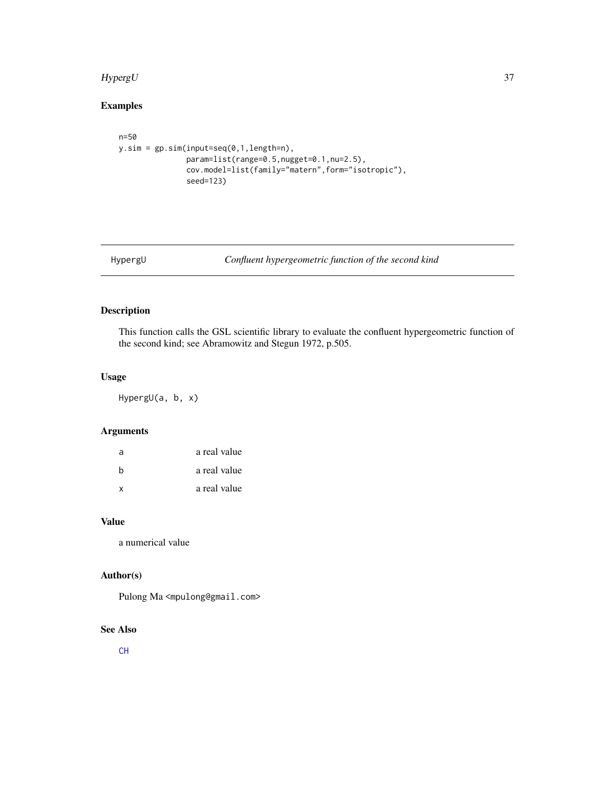#### <span id="page-36-0"></span>HypergU 37

# Examples

```
n=50
y.sim = gp.sim(input=seq(0,1,length=n),
               param=list(range=0.5,nugget=0.1,nu=2.5),
               cov.model=list(family="matern",form="isotropic"),
               seed=123)
```

```
HypergU Confluent hypergeometric function of the second kind
```
# Description

This function calls the GSL scientific library to evaluate the confluent hypergeometric function of the second kind; see Abramowitz and Stegun 1972, p.505.

# Usage

HypergU(a, b, x)

# Arguments

| a            | a real value |
|--------------|--------------|
| <sub>b</sub> | a real value |
| x            | a real value |

# Value

a numerical value

# Author(s)

Pulong Ma <mpulong@gmail.com>

# See Also

[CH](#page-6-1)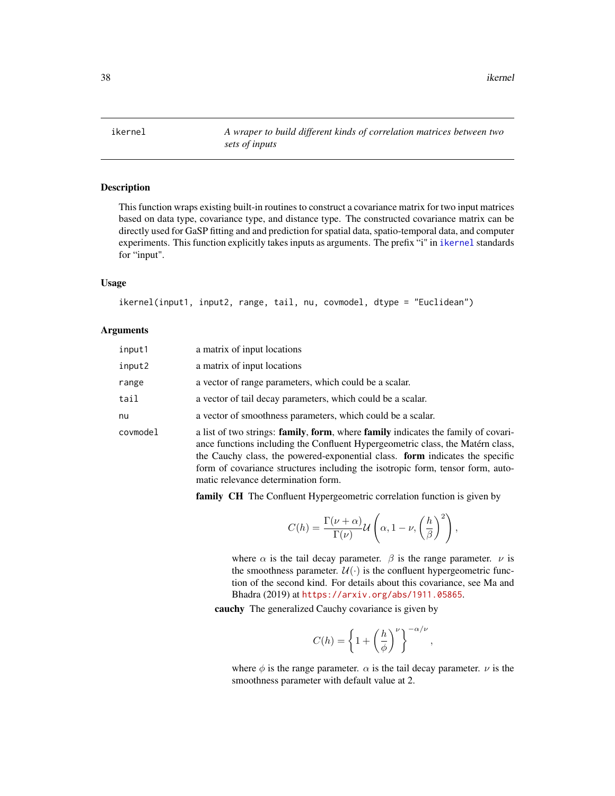<span id="page-37-1"></span><span id="page-37-0"></span>ikernel *A wraper to build different kinds of correlation matrices between two sets of inputs*

# **Description**

This function wraps existing built-in routines to construct a covariance matrix for two input matrices based on data type, covariance type, and distance type. The constructed covariance matrix can be directly used for GaSP fitting and and prediction for spatial data, spatio-temporal data, and computer experiments. This function explicitly takes inputs as arguments. The prefix "i" in [ikernel](#page-37-1) standards for "input".

### Usage

```
ikernel(input1, input2, range, tail, nu, covmodel, dtype = "Euclidean")
```
#### **Arguments**

| input1   | a matrix of input locations                                                                                                                                                                                                                                                                                                           |
|----------|---------------------------------------------------------------------------------------------------------------------------------------------------------------------------------------------------------------------------------------------------------------------------------------------------------------------------------------|
| input2   | a matrix of input locations                                                                                                                                                                                                                                                                                                           |
| range    | a vector of range parameters, which could be a scalar.                                                                                                                                                                                                                                                                                |
| tail     | a vector of tail decay parameters, which could be a scalar.                                                                                                                                                                                                                                                                           |
| nu       | a vector of smoothness parameters, which could be a scalar.                                                                                                                                                                                                                                                                           |
| covmodel | a list of two strings: family, form, where family indicates the family of covari-<br>ance functions including the Confluent Hypergeometric class, the Matérn class,<br>the Cauchy class, the powered-exponential class. form indicates the specific<br>form of covariance structures including the isotropic form, tensor form, auto- |

matic relevance determination form.

family CH The Confluent Hypergeometric correlation function is given by

$$
C(h) = \frac{\Gamma(\nu+\alpha)}{\Gamma(\nu)} \mathcal{U}\left(\alpha, 1-\nu, \left(\frac{h}{\beta}\right)^2\right),\,
$$

where  $\alpha$  is the tail decay parameter.  $\beta$  is the range parameter.  $\nu$  is the smoothness parameter.  $\mathcal{U}(\cdot)$  is the confluent hypergeometric function of the second kind. For details about this covariance, see Ma and Bhadra (2019) at <https://arxiv.org/abs/1911.05865>.

cauchy The generalized Cauchy covariance is given by

$$
C(h) = \left\{1 + \left(\frac{h}{\phi}\right)^{\nu}\right\}^{-\alpha/\nu}
$$

,

where  $\phi$  is the range parameter.  $\alpha$  is the tail decay parameter.  $\nu$  is the smoothness parameter with default value at 2.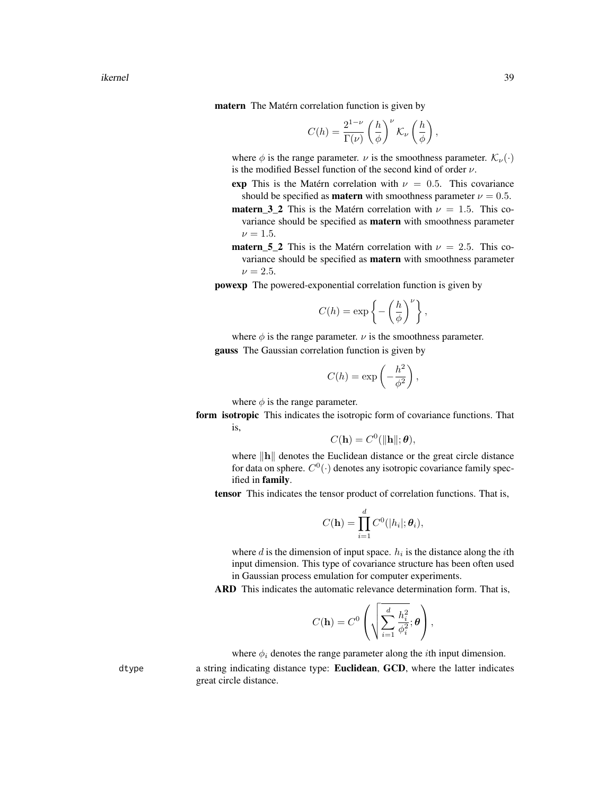ikernel 39

matern The Matérn correlation function is given by

$$
C(h) = \frac{2^{1-\nu}}{\Gamma(\nu)} \left(\frac{h}{\phi}\right)^{\nu} {\cal K}_{\nu}\left(\frac{h}{\phi}\right),
$$

where  $\phi$  is the range parameter.  $\nu$  is the smoothness parameter.  $\mathcal{K}_{\nu}(\cdot)$ is the modified Bessel function of the second kind of order  $\nu$ .

exp This is the Matérn correlation with  $\nu = 0.5$ . This covariance should be specified as **matern** with smoothness parameter  $\nu = 0.5$ .

- **matern** 3 2 This is the Matérn correlation with  $\nu = 1.5$ . This covariance should be specified as matern with smoothness parameter  $\nu = 1.5$ .
- **matern\_5\_2** This is the Matérn correlation with  $\nu = 2.5$ . This covariance should be specified as matern with smoothness parameter  $\nu = 2.5$ .

powexp The powered-exponential correlation function is given by

$$
C(h) = \exp\left\{-\left(\frac{h}{\phi}\right)^{\nu}\right\},\,
$$

where  $\phi$  is the range parameter.  $\nu$  is the smoothness parameter. gauss The Gaussian correlation function is given by

$$
C(h) = \exp\left(-\frac{h^2}{\phi^2}\right),\,
$$

where  $\phi$  is the range parameter.

form isotropic This indicates the isotropic form of covariance functions. That is,

$$
C(\mathbf{h}) = C^0(||\mathbf{h}||; \boldsymbol{\theta}),
$$

where  $\|\mathbf{h}\|$  denotes the Euclidean distance or the great circle distance for data on sphere.  $C^0(\cdot)$  denotes any isotropic covariance family specified in family.

tensor This indicates the tensor product of correlation functions. That is,

$$
C(\mathbf{h}) = \prod_{i=1}^d C^0(|h_i|; \theta_i),
$$

where  $d$  is the dimension of input space.  $h_i$  is the distance along the *i*th input dimension. This type of covariance structure has been often used in Gaussian process emulation for computer experiments.

ARD This indicates the automatic relevance determination form. That is,

$$
C(\mathbf{h}) = C^0 \left( \sqrt{\sum_{i=1}^d \frac{h_i^2}{\phi_i^2}}; \boldsymbol{\theta} \right),
$$

where  $\phi_i$  denotes the range parameter along the *i*th input dimension.

dtype a string indicating distance type: **Euclidean, GCD**, where the latter indicates great circle distance.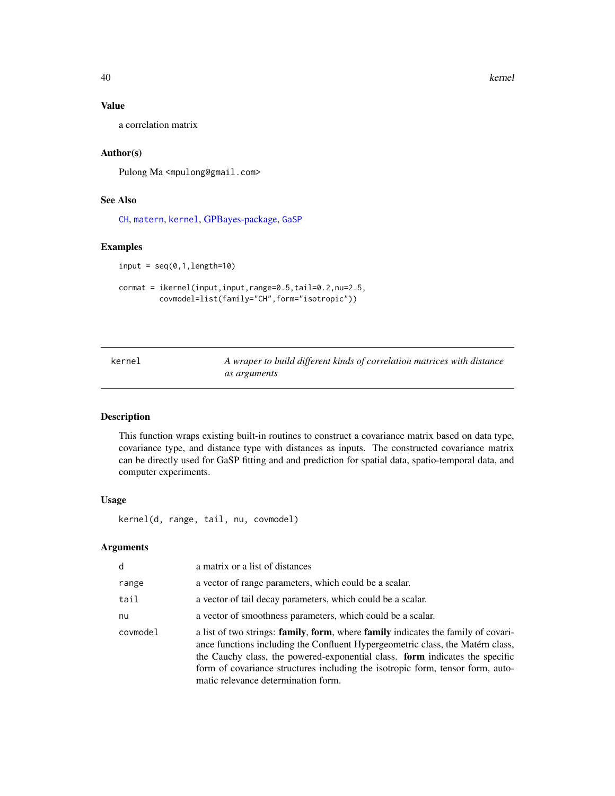40 kernel

# Value

a correlation matrix

# Author(s)

Pulong Ma <mpulong@gmail.com>

# See Also

[CH](#page-6-1), [matern](#page-44-1), [kernel](#page-39-1), [GPBayes-package,](#page-1-1) [GaSP](#page-12-1)

#### Examples

```
input = seq(0, 1, length=10)
```

```
cormat = ikernel(input,input,range=0.5,tail=0.2,nu=2.5,
        covmodel=list(family="CH",form="isotropic"))
```
<span id="page-39-1"></span>kernel *A wraper to build different kinds of correlation matrices with distance as arguments*

#### Description

This function wraps existing built-in routines to construct a covariance matrix based on data type, covariance type, and distance type with distances as inputs. The constructed covariance matrix can be directly used for GaSP fitting and and prediction for spatial data, spatio-temporal data, and computer experiments.

#### Usage

kernel(d, range, tail, nu, covmodel)

# Arguments

| d        | a matrix or a list of distances                                                                                                                                                                                                                                                                                                                                                     |
|----------|-------------------------------------------------------------------------------------------------------------------------------------------------------------------------------------------------------------------------------------------------------------------------------------------------------------------------------------------------------------------------------------|
| range    | a vector of range parameters, which could be a scalar.                                                                                                                                                                                                                                                                                                                              |
| tail     | a vector of tail decay parameters, which could be a scalar.                                                                                                                                                                                                                                                                                                                         |
| nu       | a vector of smoothness parameters, which could be a scalar.                                                                                                                                                                                                                                                                                                                         |
| covmodel | a list of two strings: family, form, where family indicates the family of covari-<br>ance functions including the Confluent Hypergeometric class, the Matérn class,<br>the Cauchy class, the powered-exponential class. <b>form</b> indicates the specific<br>form of covariance structures including the isotropic form, tensor form, auto-<br>matic relevance determination form. |

<span id="page-39-0"></span>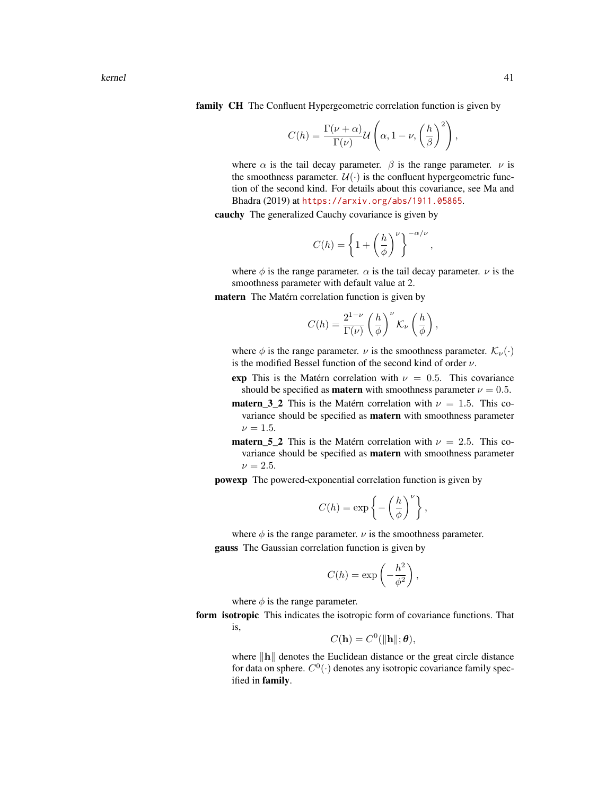family CH The Confluent Hypergeometric correlation function is given by

$$
C(h) = \frac{\Gamma(\nu + \alpha)}{\Gamma(\nu)} \mathcal{U}\left(\alpha, 1 - \nu, \left(\frac{h}{\beta}\right)^2\right)
$$

where  $\alpha$  is the tail decay parameter.  $\beta$  is the range parameter.  $\nu$  is the smoothness parameter.  $\mathcal{U}(\cdot)$  is the confluent hypergeometric function of the second kind. For details about this covariance, see Ma and Bhadra (2019) at <https://arxiv.org/abs/1911.05865>.

cauchy The generalized Cauchy covariance is given by

$$
C(h) = \left\{1 + \left(\frac{h}{\phi}\right)^{\nu}\right\}^{-\alpha/\nu}
$$

where  $\phi$  is the range parameter.  $\alpha$  is the tail decay parameter.  $\nu$  is the smoothness parameter with default value at 2.

matern The Matérn correlation function is given by

$$
C(h) = \frac{2^{1-\nu}}{\Gamma(\nu)}\left(\frac{h}{\phi}\right)^{\nu} {\cal K}_{\nu}\left(\frac{h}{\phi}\right),
$$

where  $\phi$  is the range parameter.  $\nu$  is the smoothness parameter.  $\mathcal{K}_{\nu}(\cdot)$ is the modified Bessel function of the second kind of order  $\nu$ .

- exp This is the Matérn correlation with  $\nu = 0.5$ . This covariance should be specified as **matern** with smoothness parameter  $\nu = 0.5$ .
- **matern\_3\_2** This is the Matérn correlation with  $\nu = 1.5$ . This covariance should be specified as matern with smoothness parameter  $\nu = 1.5$ .
- **matern\_5\_2** This is the Matérn correlation with  $\nu = 2.5$ . This covariance should be specified as matern with smoothness parameter  $\nu = 2.5$ .

powexp The powered-exponential correlation function is given by

$$
C(h) = \exp\left\{-\left(\frac{h}{\phi}\right)^{\nu}\right\},\,
$$

where  $\phi$  is the range parameter.  $\nu$  is the smoothness parameter. gauss The Gaussian correlation function is given by

$$
C(h) = \exp\left(-\frac{h^2}{\phi^2}\right),\,
$$

where  $\phi$  is the range parameter.

form isotropic This indicates the isotropic form of covariance functions. That is,

$$
C(\mathbf{h}) = C^0(||\mathbf{h}||; \boldsymbol{\theta}),
$$

where  $\|\mathbf{h}\|$  denotes the Euclidean distance or the great circle distance for data on sphere.  $C^0(\cdot)$  denotes any isotropic covariance family specified in family.

,

,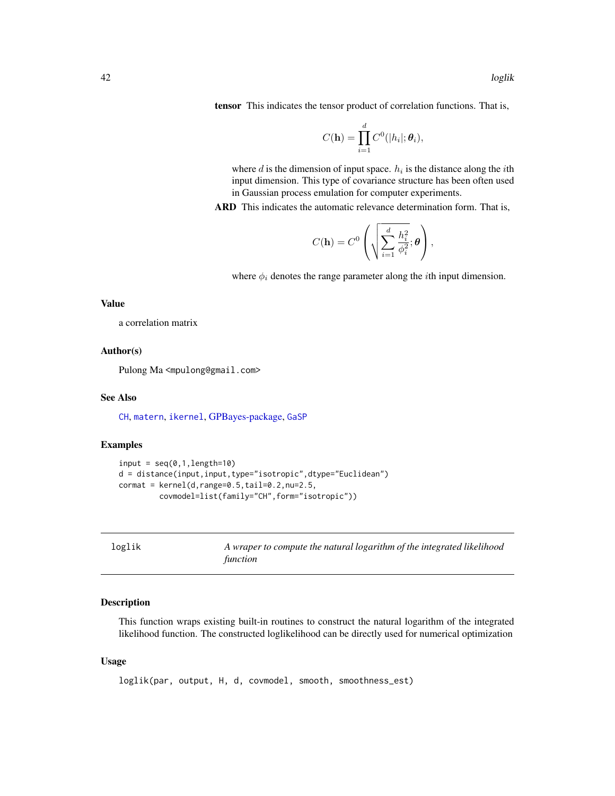<span id="page-41-0"></span>tensor This indicates the tensor product of correlation functions. That is,

$$
C(\mathbf{h}) = \prod_{i=1}^d C^0(|h_i|; \theta_i),
$$

where  $d$  is the dimension of input space.  $h_i$  is the distance along the *i*th input dimension. This type of covariance structure has been often used in Gaussian process emulation for computer experiments.

ARD This indicates the automatic relevance determination form. That is,

$$
C(\mathbf{h}) = C^0 \left( \sqrt{\sum_{i=1}^d \frac{h_i^2}{\phi_i^2}}; \boldsymbol{\theta} \right),
$$

where  $\phi_i$  denotes the range parameter along the *i*th input dimension.

#### Value

a correlation matrix

#### Author(s)

Pulong Ma <mpulong@gmail.com>

#### See Also

[CH](#page-6-1), [matern](#page-44-1), [ikernel](#page-37-1), [GPBayes-package,](#page-1-1) [GaSP](#page-12-1)

#### Examples

```
input = seq(0, 1, length=10)d = distance(input,input,type="isotropic",dtype="Euclidean")
\text{format} = \text{kernel}(d, \text{range=0.5}, \text{tail=0.2}, \text{nu=2.5},covmodel=list(family="CH",form="isotropic"))
```
loglik *A wraper to compute the natural logarithm of the integrated likelihood function*

#### Description

This function wraps existing built-in routines to construct the natural logarithm of the integrated likelihood function. The constructed loglikelihood can be directly used for numerical optimization

#### Usage

loglik(par, output, H, d, covmodel, smooth, smoothness\_est)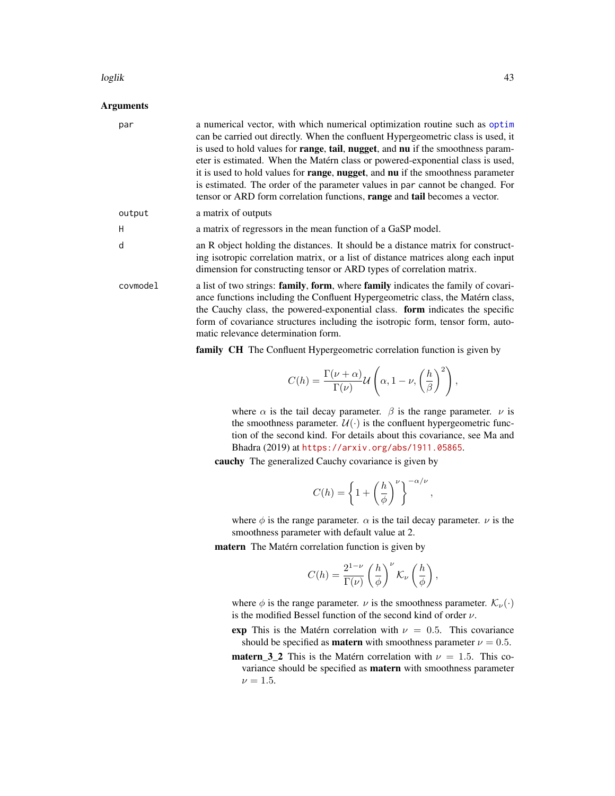#### <span id="page-42-0"></span>loglik 43

#### **Arguments**

| par      | a numerical vector, with which numerical optimization routine such as optim<br>can be carried out directly. When the confluent Hypergeometric class is used, it                                                                                                                                                                                                              |
|----------|------------------------------------------------------------------------------------------------------------------------------------------------------------------------------------------------------------------------------------------------------------------------------------------------------------------------------------------------------------------------------|
|          | is used to hold values for <b>range</b> , <b>tail</b> , <b>nugget</b> , and <b>nu</b> if the smoothness param-                                                                                                                                                                                                                                                               |
|          | eter is estimated. When the Matérn class or powered-exponential class is used,<br>it is used to hold values for <b>range</b> , <b>nugget</b> , and <b>nu</b> if the smoothness parameter                                                                                                                                                                                     |
|          | is estimated. The order of the parameter values in par cannot be changed. For<br>tensor or ARD form correlation functions, range and tail becomes a vector.                                                                                                                                                                                                                  |
| output   | a matrix of outputs                                                                                                                                                                                                                                                                                                                                                          |
| H        | a matrix of regressors in the mean function of a GaSP model.                                                                                                                                                                                                                                                                                                                 |
| d        | an R object holding the distances. It should be a distance matrix for construct-<br>ing isotropic correlation matrix, or a list of distance matrices along each input<br>dimension for constructing tensor or ARD types of correlation matrix.                                                                                                                               |
| covmodel | a list of two strings: family, form, where family indicates the family of covari-<br>ance functions including the Confluent Hypergeometric class, the Matérn class,<br>the Cauchy class, the powered-exponential class. form indicates the specific<br>form of covariance structures including the isotropic form, tensor form, auto-<br>matic relevance determination form. |
|          |                                                                                                                                                                                                                                                                                                                                                                              |

family CH The Confluent Hypergeometric correlation function is given by

$$
C(h) = \frac{\Gamma(\nu + \alpha)}{\Gamma(\nu)} \mathcal{U}\left(\alpha, 1 - \nu, \left(\frac{h}{\beta}\right)^2\right),\,
$$

where  $\alpha$  is the tail decay parameter.  $\beta$  is the range parameter.  $\nu$  is the smoothness parameter.  $\mathcal{U}(\cdot)$  is the confluent hypergeometric function of the second kind. For details about this covariance, see Ma and Bhadra (2019) at <https://arxiv.org/abs/1911.05865>.

cauchy The generalized Cauchy covariance is given by

$$
C(h) = \left\{1 + \left(\frac{h}{\phi}\right)^{\nu}\right\}^{-\alpha/\nu}
$$

,

where  $\phi$  is the range parameter.  $\alpha$  is the tail decay parameter.  $\nu$  is the smoothness parameter with default value at 2.

matern The Matérn correlation function is given by

$$
C(h) = \frac{2^{1-\nu}}{\Gamma(\nu)} \left(\frac{h}{\phi}\right)^{\nu} K_{\nu}\left(\frac{h}{\phi}\right),\,
$$

where  $\phi$  is the range parameter.  $\nu$  is the smoothness parameter.  $\mathcal{K}_{\nu}(\cdot)$ is the modified Bessel function of the second kind of order  $\nu$ .

- exp This is the Matérn correlation with  $\nu = 0.5$ . This covariance should be specified as **matern** with smoothness parameter  $\nu = 0.5$ .
- **matern\_3\_2** This is the Matérn correlation with  $\nu = 1.5$ . This covariance should be specified as matern with smoothness parameter  $\nu = 1.5$ .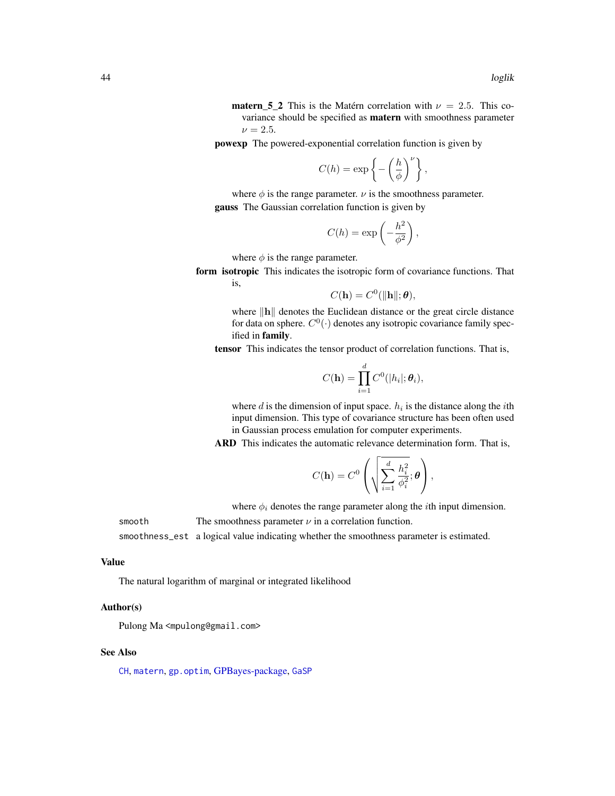**matern\_5\_2** This is the Matérn correlation with  $\nu = 2.5$ . This covariance should be specified as matern with smoothness parameter  $\nu = 2.5$ .

<span id="page-43-0"></span>powexp The powered-exponential correlation function is given by

$$
C(h) = \exp\left\{-\left(\frac{h}{\phi}\right)^{\nu}\right\},\,
$$

where  $\phi$  is the range parameter.  $\nu$  is the smoothness parameter. gauss The Gaussian correlation function is given by

$$
C(h) = \exp\left(-\frac{h^2}{\phi^2}\right)
$$

,

where  $\phi$  is the range parameter.

form isotropic This indicates the isotropic form of covariance functions. That is,

$$
C(\mathbf{h}) = C^0(||\mathbf{h}||; \boldsymbol{\theta}),
$$

where  $\Vert \mathbf{h} \Vert$  denotes the Euclidean distance or the great circle distance for data on sphere.  $C^0(\cdot)$  denotes any isotropic covariance family specified in family.

tensor This indicates the tensor product of correlation functions. That is,

$$
C(\mathbf{h}) = \prod_{i=1}^d C^0(|h_i|; \theta_i),
$$

where  $d$  is the dimension of input space.  $h_i$  is the distance along the *i*th input dimension. This type of covariance structure has been often used in Gaussian process emulation for computer experiments.

ARD This indicates the automatic relevance determination form. That is,

$$
C(\mathbf{h}) = C^0 \left( \sqrt{\sum_{i=1}^d \frac{h_i^2}{\phi_i^2}}; \boldsymbol{\theta} \right),
$$

where  $\phi_i$  denotes the range parameter along the *i*th input dimension.

smooth The smoothness parameter  $\nu$  in a correlation function.

smoothness\_est a logical value indicating whether the smoothness parameter is estimated.

#### Value

The natural logarithm of marginal or integrated likelihood

#### Author(s)

Pulong Ma <mpulong@gmail.com>

#### See Also

[CH](#page-6-1), [matern](#page-44-1), [gp.optim](#page-30-1), [GPBayes-package,](#page-1-1) [GaSP](#page-12-1)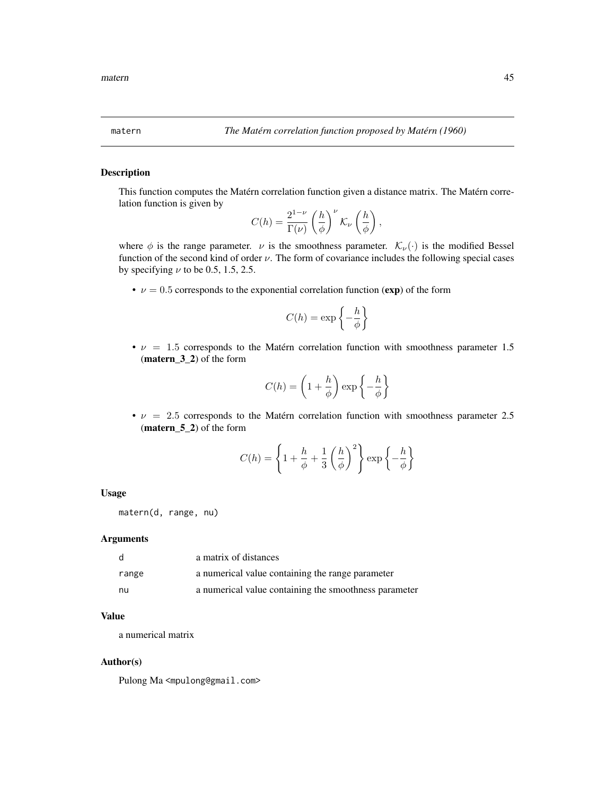This function computes the Matérn correlation function given a distance matrix. The Matérn correlation function is given by

$$
C(h) = \frac{2^{1-\nu}}{\Gamma(\nu)} \left(\frac{h}{\phi}\right)^{\nu} {\cal K}_{\nu}\left(\frac{h}{\phi}\right),
$$

where  $\phi$  is the range parameter.  $\nu$  is the smoothness parameter.  $\mathcal{K}_{\nu}(\cdot)$  is the modified Bessel function of the second kind of order  $\nu$ . The form of covariance includes the following special cases by specifying  $\nu$  to be 0.5, 1.5, 2.5.

•  $\nu = 0.5$  corresponds to the exponential correlation function (exp) of the form

$$
C(h) = \exp\left\{-\frac{h}{\phi}\right\}
$$

•  $\nu = 1.5$  corresponds to the Matérn correlation function with smoothness parameter 1.5 (matern\_3\_2) of the form

$$
C(h) = \left(1 + \frac{h}{\phi}\right) \exp\left\{-\frac{h}{\phi}\right\}
$$

•  $\nu$  = 2.5 corresponds to the Matérn correlation function with smoothness parameter 2.5 (matern\_5\_2) of the form

$$
C(h) = \left\{1 + \frac{h}{\phi} + \frac{1}{3} \left(\frac{h}{\phi}\right)^2\right\} \exp\left\{-\frac{h}{\phi}\right\}
$$

#### Usage

matern(d, range, nu)

#### Arguments

| - q   | a matrix of distances                                 |
|-------|-------------------------------------------------------|
| range | a numerical value containing the range parameter      |
| nu    | a numerical value containing the smoothness parameter |

# Value

a numerical matrix

#### Author(s)

Pulong Ma <mpulong@gmail.com>

<span id="page-44-1"></span><span id="page-44-0"></span>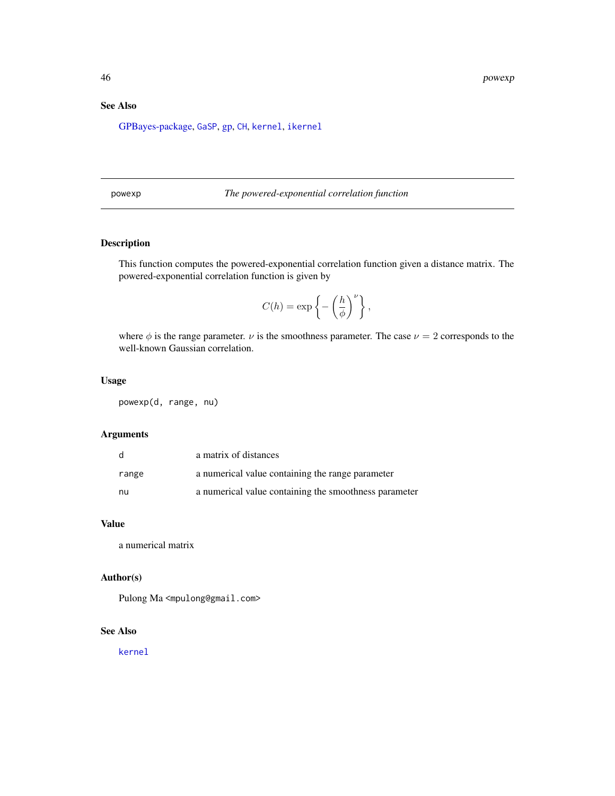# <span id="page-45-0"></span>See Also

[GPBayes-package,](#page-1-1) [GaSP](#page-12-1), [gp,](#page-19-1) [CH](#page-6-1), [kernel](#page-39-1), [ikernel](#page-37-1)

### powexp *The powered-exponential correlation function*

# Description

This function computes the powered-exponential correlation function given a distance matrix. The powered-exponential correlation function is given by

$$
C(h) = \exp\left\{-\left(\frac{h}{\phi}\right)^{\nu}\right\},\,
$$

where  $\phi$  is the range parameter.  $\nu$  is the smoothness parameter. The case  $\nu = 2$  corresponds to the well-known Gaussian correlation.

# Usage

powexp(d, range, nu)

# Arguments

| d     | a matrix of distances                                 |
|-------|-------------------------------------------------------|
| range | a numerical value containing the range parameter      |
| nu    | a numerical value containing the smoothness parameter |

#### Value

a numerical matrix

#### Author(s)

Pulong Ma <mpulong@gmail.com>

# See Also

[kernel](#page-39-1)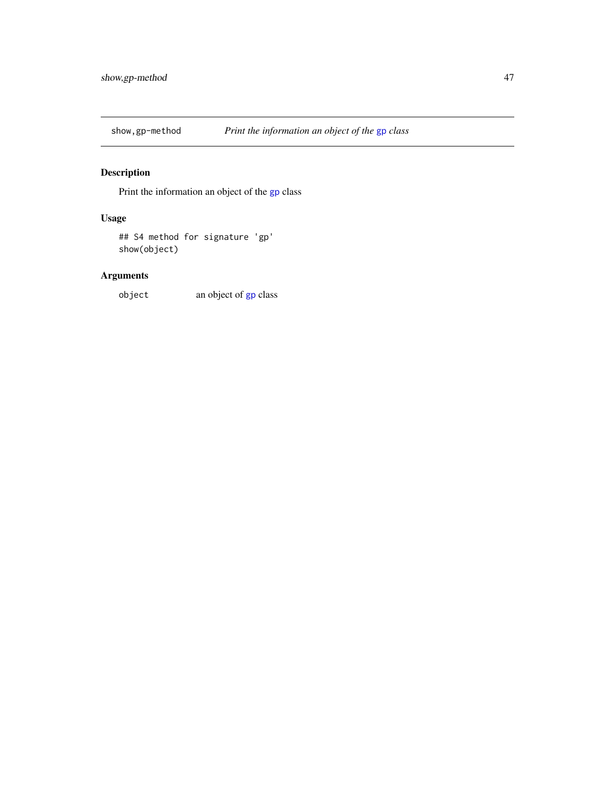<span id="page-46-0"></span>

Print the information an object of the [gp](#page-16-1) class

# Usage

## S4 method for signature 'gp' show(object)

# Arguments

object an object of [gp](#page-16-1) class